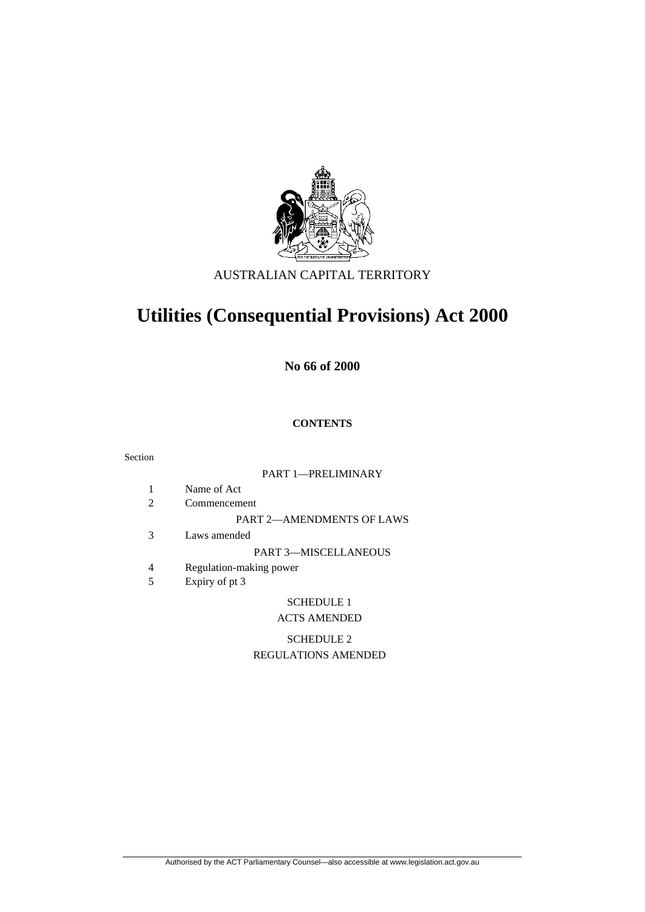

### AUSTRALIAN CAPITAL TERRITORY

# **Utilities (Consequential Provisions) Act 2000**

**No 66 of 2000** 

### **CONTENTS**

#### Section

#### PART 1—PRELIMINARY

 1 Name of Act 2 Commencement

PART 2—AMENDMENTS OF LAWS

3 Laws amended

PART 3—MISCELLANEOUS

- 4 Regulation-making power
- 5 Expiry of pt 3

## SCHEDULE 1

### ACTS AMENDED

### SCHEDULE 2 REGULATIONS AMENDED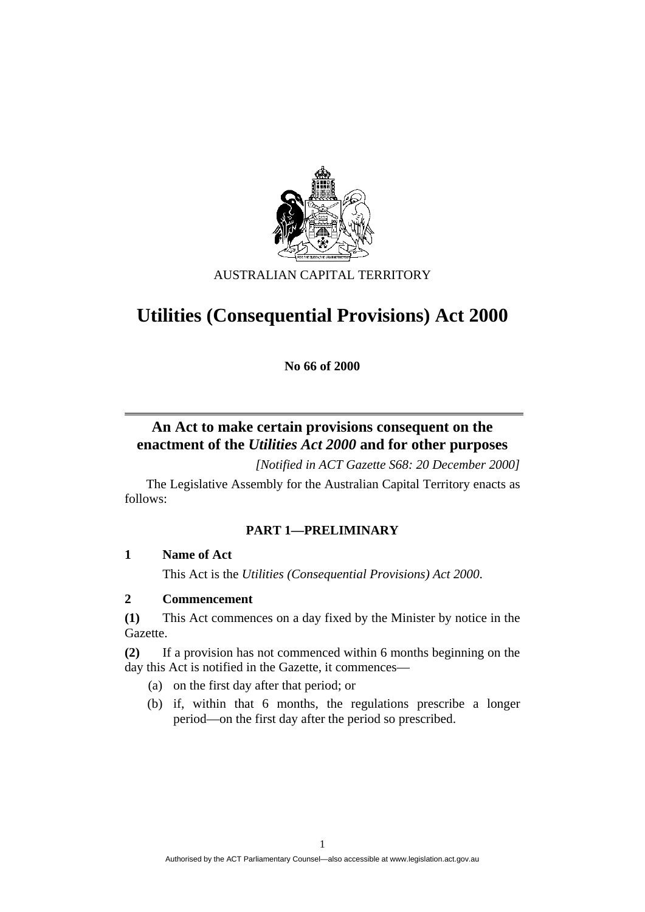

AUSTRALIAN CAPITAL TERRITORY

# **Utilities (Consequential Provisions) Act 2000**

**No 66 of 2000** 

## **An Act to make certain provisions consequent on the enactment of the** *Utilities Act 2000* **and for other purposes**

*[Notified in ACT Gazette S68: 20 December 2000]* 

 The Legislative Assembly for the Australian Capital Territory enacts as follows:

### **PART 1—PRELIMINARY**

#### **1 Name of Act**

This Act is the *Utilities (Consequential Provisions) Act 2000*.

### **2 Commencement**

**(1)** This Act commences on a day fixed by the Minister by notice in the Gazette.

**(2)** If a provision has not commenced within 6 months beginning on the day this Act is notified in the Gazette, it commences—

- (a) on the first day after that period; or
- (b) if, within that 6 months, the regulations prescribe a longer period—on the first day after the period so prescribed.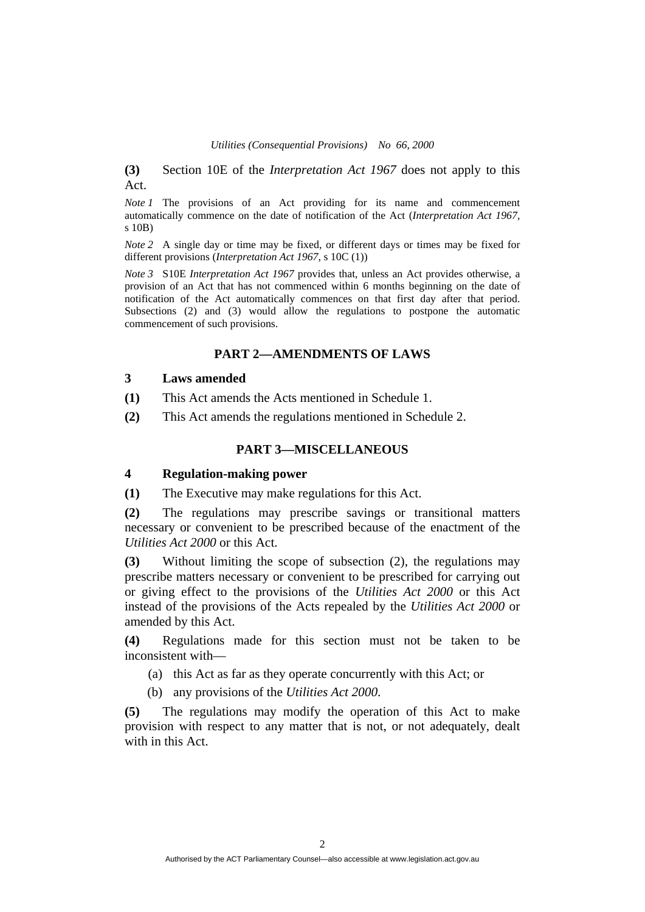**(3)** Section 10E of the *Interpretation Act 1967* does not apply to this Act.

*Note 1* The provisions of an Act providing for its name and commencement automatically commence on the date of notification of the Act (*Interpretation Act 1967*, s 10B)

*Note 2* A single day or time may be fixed, or different days or times may be fixed for different provisions (*Interpretation Act 1967*, s 10C (1))

*Note 3* S10E *Interpretation Act 1967* provides that, unless an Act provides otherwise, a provision of an Act that has not commenced within 6 months beginning on the date of notification of the Act automatically commences on that first day after that period. Subsections (2) and (3) would allow the regulations to postpone the automatic commencement of such provisions.

### **PART 2—AMENDMENTS OF LAWS**

#### **3 Laws amended**

**(1)** This Act amends the Acts mentioned in Schedule 1.

**(2)** This Act amends the regulations mentioned in Schedule 2.

#### **PART 3—MISCELLANEOUS**

#### **4 Regulation-making power**

**(1)** The Executive may make regulations for this Act.

**(2)** The regulations may prescribe savings or transitional matters necessary or convenient to be prescribed because of the enactment of the *Utilities Act 2000* or this Act.

**(3)** Without limiting the scope of subsection (2), the regulations may prescribe matters necessary or convenient to be prescribed for carrying out or giving effect to the provisions of the *Utilities Act 2000* or this Act instead of the provisions of the Acts repealed by the *Utilities Act 2000* or amended by this Act.

**(4)** Regulations made for this section must not be taken to be inconsistent with—

(a) this Act as far as they operate concurrently with this Act; or

(b) any provisions of the *Utilities Act 2000*.

**(5)** The regulations may modify the operation of this Act to make provision with respect to any matter that is not, or not adequately, dealt with in this Act.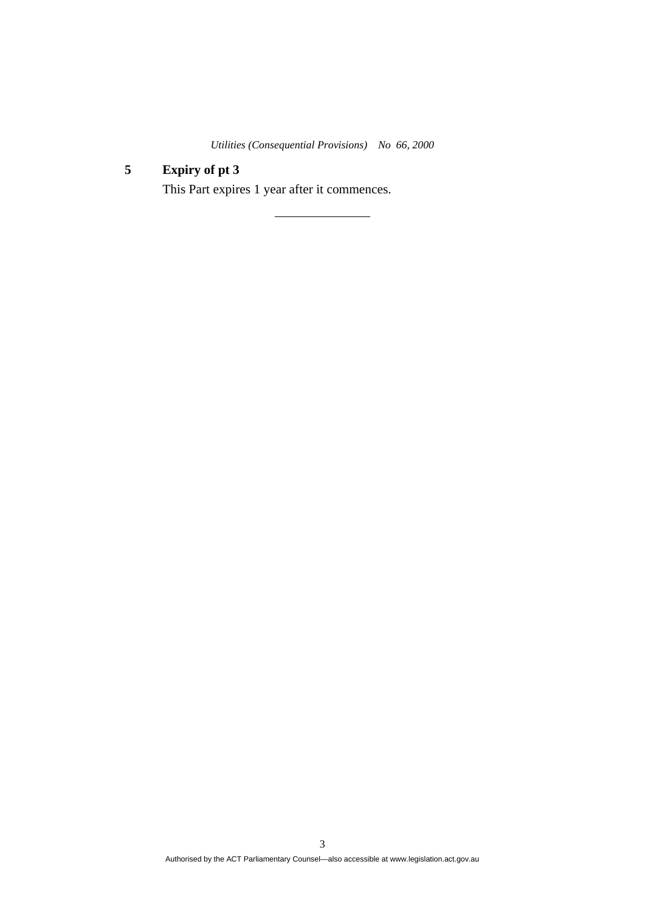*Utilities (Consequential Provisions) No 66, 2000* 

**5 Expiry of pt 3**  This Part expires 1 year after it commences.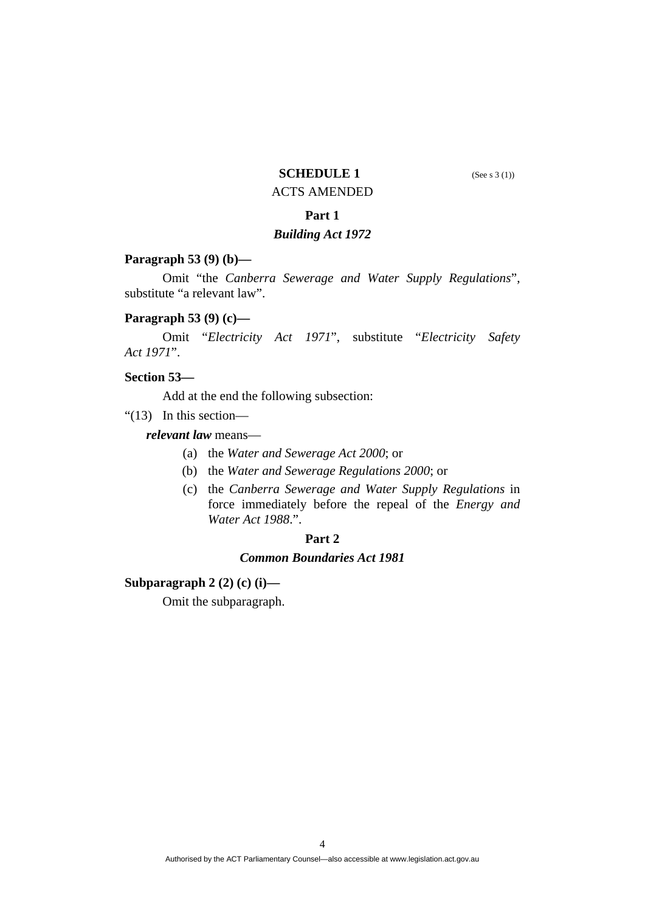### **SCHEDULE 1** (See s 3 (1)) ACTS AMENDED

#### **Part 1**

### *Building Act 1972*

#### **Paragraph 53 (9) (b)—**

 Omit "the *Canberra Sewerage and Water Supply Regulations*", substitute "a relevant law".

### **Paragraph 53 (9) (c)—**

 Omit "*Electricity Act 1971*", substitute "*Electricity Safety Act 1971*".

### **Section 53—**

Add at the end the following subsection:

"(13) In this section—

#### *relevant law* means—

- (a) the *Water and Sewerage Act 2000*; or
- (b) the *Water and Sewerage Regulations 2000*; or
- (c) the *Canberra Sewerage and Water Supply Regulations* in force immediately before the repeal of the *Energy and Water Act 1988*.".

### **Part 2**

#### *Common Boundaries Act 1981*

#### **Subparagraph 2 (2) (c) (i)—**

Omit the subparagraph.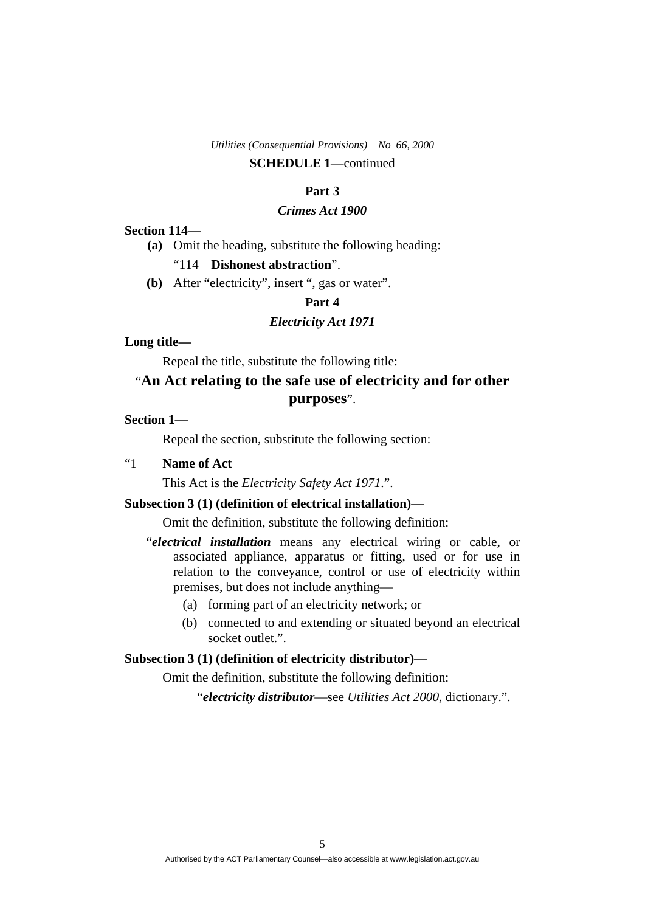#### **Part 3**

### *Crimes Act 1900*

#### **Section 114—**

- **(a)** Omit the heading, substitute the following heading: "114 **Dishonest abstraction**".
- **(b)** After "electricity", insert ", gas or water".

### **Part 4**

#### *Electricity Act 1971*

#### **Long title—**

Repeal the title, substitute the following title:

### "**An Act relating to the safe use of electricity and for other purposes**".

#### **Section 1—**

Repeal the section, substitute the following section:

### "1 **Name of Act**

This Act is the *Electricity Safety Act 1971*.".

### **Subsection 3 (1) (definition of electrical installation)—**

Omit the definition, substitute the following definition:

- "*electrical installation* means any electrical wiring or cable, or associated appliance, apparatus or fitting, used or for use in relation to the conveyance, control or use of electricity within premises, but does not include anything—
	- (a) forming part of an electricity network; or
	- (b) connected to and extending or situated beyond an electrical socket outlet.".

### **Subsection 3 (1) (definition of electricity distributor)—**

Omit the definition, substitute the following definition:

"*electricity distributor*—see *Utilities Act 2000*, dictionary.".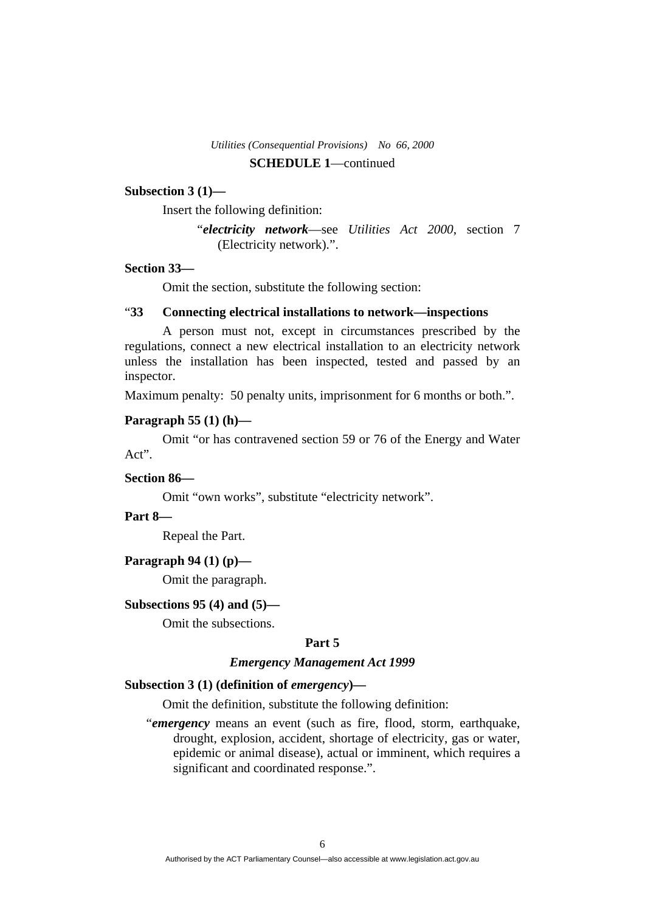#### **Subsection 3 (1)—**

Insert the following definition:

```
"electricity network—see Utilities Act 2000, section 7 
(Electricity network).".
```
### **Section 33—**

Omit the section, substitute the following section:

### "**33 Connecting electrical installations to network—inspections**

 A person must not, except in circumstances prescribed by the regulations, connect a new electrical installation to an electricity network unless the installation has been inspected, tested and passed by an inspector.

Maximum penalty: 50 penalty units, imprisonment for 6 months or both.".

### **Paragraph 55 (1) (h)—**

 Omit "or has contravened section 59 or 76 of the Energy and Water Act".

#### **Section 86—**

Omit "own works", substitute "electricity network".

### **Part 8—**

Repeal the Part.

#### **Paragraph 94 (1) (p)—**

Omit the paragraph.

#### **Subsections 95 (4) and (5)—**

Omit the subsections.

#### **Part 5**

### *Emergency Management Act 1999*

#### **Subsection 3 (1) (definition of** *emergency***)***—*

Omit the definition, substitute the following definition:

"*emergency* means an event (such as fire, flood, storm, earthquake, drought, explosion, accident, shortage of electricity, gas or water, epidemic or animal disease), actual or imminent, which requires a significant and coordinated response.".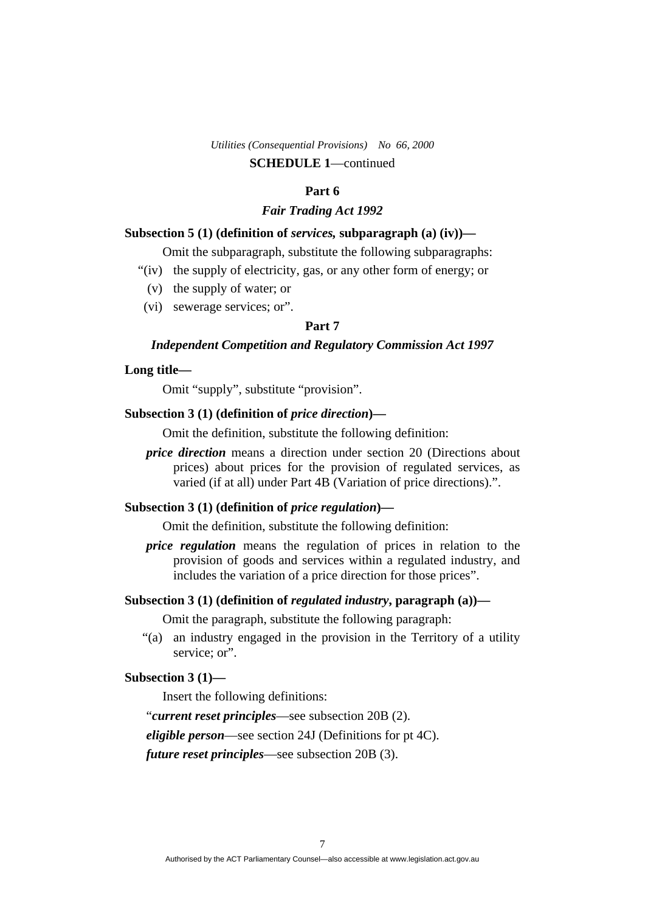#### **Part 6**

### *Fair Trading Act 1992*

### **Subsection 5 (1) (definition of** *services,* **subparagraph (a) (iv))—**

Omit the subparagraph, substitute the following subparagraphs:

- "(iv) the supply of electricity, gas, or any other form of energy; or
	- (v) the supply of water; or
	- (vi) sewerage services; or".

### **Part 7**

#### *Independent Competition and Regulatory Commission Act 1997*

#### **Long title—**

Omit "supply", substitute "provision".

### **Subsection 3 (1) (definition of** *price direction***)—**

Omit the definition, substitute the following definition:

*price direction* means a direction under section 20 (Directions about prices) about prices for the provision of regulated services, as varied (if at all) under Part 4B (Variation of price directions).".

### **Subsection 3 (1) (definition of** *price regulation***)—**

Omit the definition, substitute the following definition:

*price regulation* means the regulation of prices in relation to the provision of goods and services within a regulated industry, and includes the variation of a price direction for those prices".

### **Subsection 3 (1) (definition of** *regulated industry***, paragraph (a))—**

Omit the paragraph, substitute the following paragraph:

 "(a) an industry engaged in the provision in the Territory of a utility service; or".

#### **Subsection 3 (1)—**

Insert the following definitions:

"*current reset principles*—see subsection 20B (2).

*eligible person*—see section 24J (Definitions for pt 4C).

*future reset principles*—see subsection 20B (3).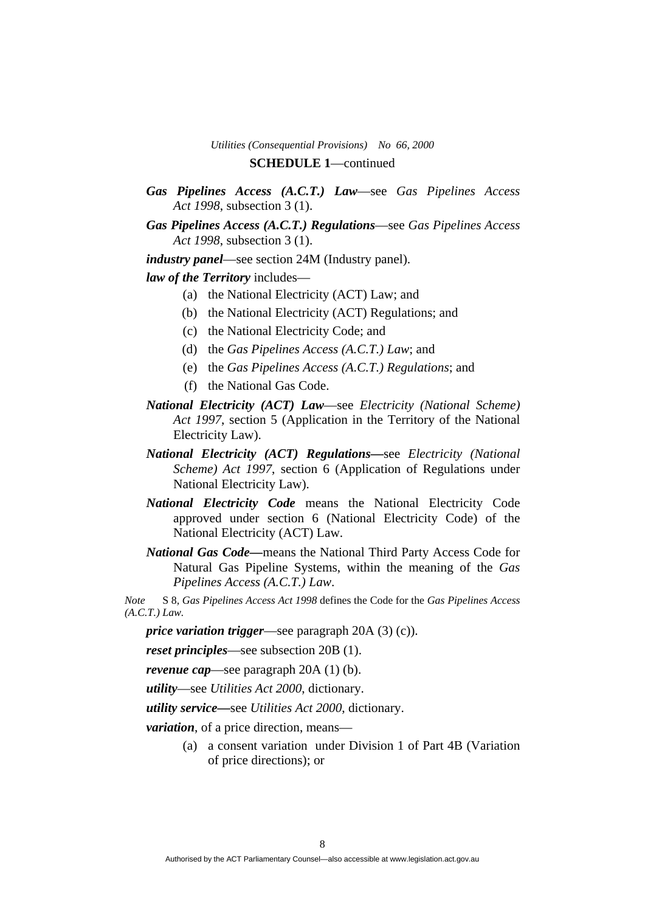- *Gas Pipelines Access (A.C.T.) Law*—see *Gas Pipelines Access Act 1998*, subsection 3 (1).
- *Gas Pipelines Access (A.C.T.) Regulations*—see *Gas Pipelines Access Act 1998*, subsection 3 (1).

*industry panel*—see section 24M (Industry panel).

*law of the Territory* includes—

- (a) the National Electricity (ACT) Law; and
- (b) the National Electricity (ACT) Regulations; and
- (c) the National Electricity Code; and
- (d) the *Gas Pipelines Access (A.C.T.) Law*; and
- (e) the *Gas Pipelines Access (A.C.T.) Regulations*; and
- (f) the National Gas Code.
- *National Electricity (ACT) Law*—see *Electricity (National Scheme) Act 1997*, section 5 (Application in the Territory of the National Electricity Law).
- *National Electricity (ACT) Regulations—*see *Electricity (National Scheme) Act 1997*, section 6 (Application of Regulations under National Electricity Law).
- *National Electricity Code* means the National Electricity Code approved under section 6 (National Electricity Code) of the National Electricity (ACT) Law.
- *National Gas Code—*means the National Third Party Access Code for Natural Gas Pipeline Systems, within the meaning of the *Gas Pipelines Access (A.C.T.) Law*.

*Note* S 8*, Gas Pipelines Access Act 1998* defines the Code for the *Gas Pipelines Access (A.C.T.) Law.* 

*price variation trigger*—see paragraph 20A (3) (c)).

*reset principles*—see subsection 20B (1).

*revenue cap*—see paragraph 20A (1) (b).

*utility*—see *Utilities Act 2000*, dictionary.

*utility service—*see *Utilities Act 2000*, dictionary.

*variation*, of a price direction, means—

 (a) a consent variation under Division 1 of Part 4B (Variation of price directions); or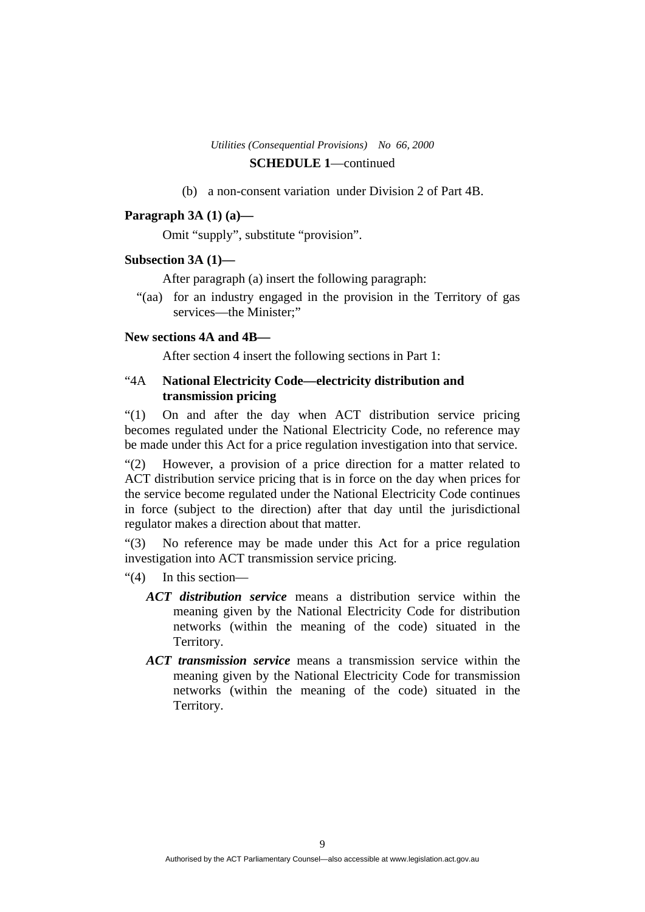(b) a non-consent variation under Division 2 of Part 4B.

#### **Paragraph 3A (1) (a)—**

Omit "supply", substitute "provision".

#### **Subsection 3A (1)—**

After paragraph (a) insert the following paragraph:

 "(aa) for an industry engaged in the provision in the Territory of gas services—the Minister;"

#### **New sections 4A and 4B—**

After section 4 insert the following sections in Part 1:

### "4A **National Electricity Code—electricity distribution and transmission pricing**

"(1) On and after the day when ACT distribution service pricing becomes regulated under the National Electricity Code, no reference may be made under this Act for a price regulation investigation into that service.

"(2) However, a provision of a price direction for a matter related to ACT distribution service pricing that is in force on the day when prices for the service become regulated under the National Electricity Code continues in force (subject to the direction) after that day until the jurisdictional regulator makes a direction about that matter.

"(3) No reference may be made under this Act for a price regulation investigation into ACT transmission service pricing.

- "(4) In this section—
	- *ACT distribution service* means a distribution service within the meaning given by the National Electricity Code for distribution networks (within the meaning of the code) situated in the Territory.
	- *ACT transmission service* means a transmission service within the meaning given by the National Electricity Code for transmission networks (within the meaning of the code) situated in the Territory.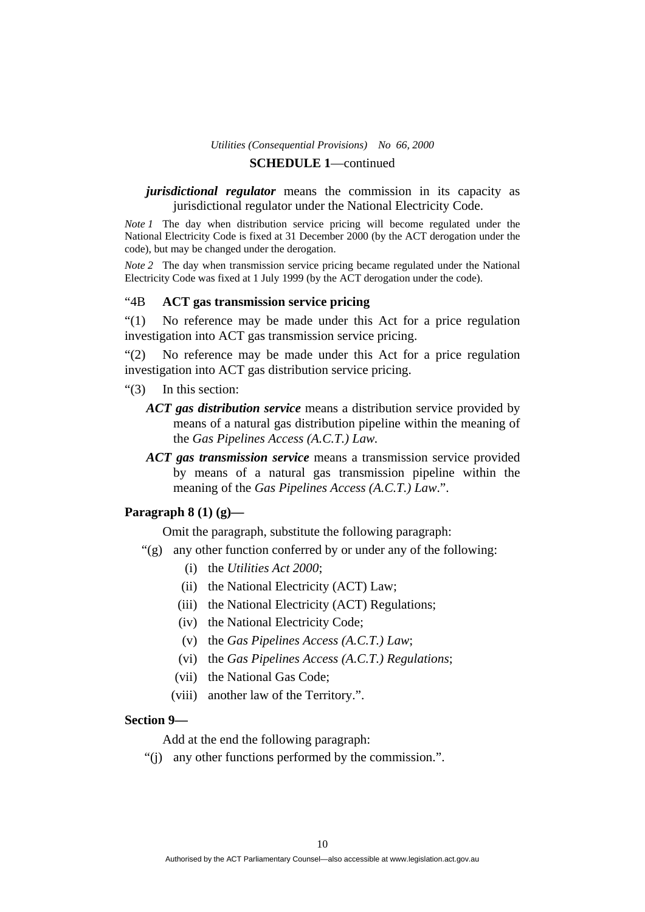### *Utilities (Consequential Provisions) No 66, 2000*

### **SCHEDULE 1**—continued

#### *jurisdictional regulator* means the commission in its capacity as jurisdictional regulator under the National Electricity Code.

*Note 1* The day when distribution service pricing will become regulated under the National Electricity Code is fixed at 31 December 2000 (by the ACT derogation under the code), but may be changed under the derogation.

*Note* 2 The day when transmission service pricing became regulated under the National Electricity Code was fixed at 1 July 1999 (by the ACT derogation under the code).

### "4B **ACT gas transmission service pricing**

"(1) No reference may be made under this Act for a price regulation investigation into ACT gas transmission service pricing.

"(2) No reference may be made under this Act for a price regulation investigation into ACT gas distribution service pricing.

"(3) In this section:

- *ACT gas distribution service* means a distribution service provided by means of a natural gas distribution pipeline within the meaning of the *Gas Pipelines Access (A.C.T.) Law.*
- *ACT gas transmission service* means a transmission service provided by means of a natural gas transmission pipeline within the meaning of the *Gas Pipelines Access (A.C.T.) Law*.".

### **Paragraph 8 (1) (g)—**

Omit the paragraph, substitute the following paragraph:

- "(g) any other function conferred by or under any of the following:
	- (i) the *Utilities Act 2000*;
	- (ii) the National Electricity (ACT) Law;
	- (iii) the National Electricity (ACT) Regulations;
	- (iv) the National Electricity Code;
	- (v) the *Gas Pipelines Access (A.C.T.) Law*;
	- (vi) the *Gas Pipelines Access (A.C.T.) Regulations*;
	- (vii) the National Gas Code;
	- (viii) another law of the Territory.".

#### **Section 9—**

Add at the end the following paragraph:

"(j) any other functions performed by the commission.".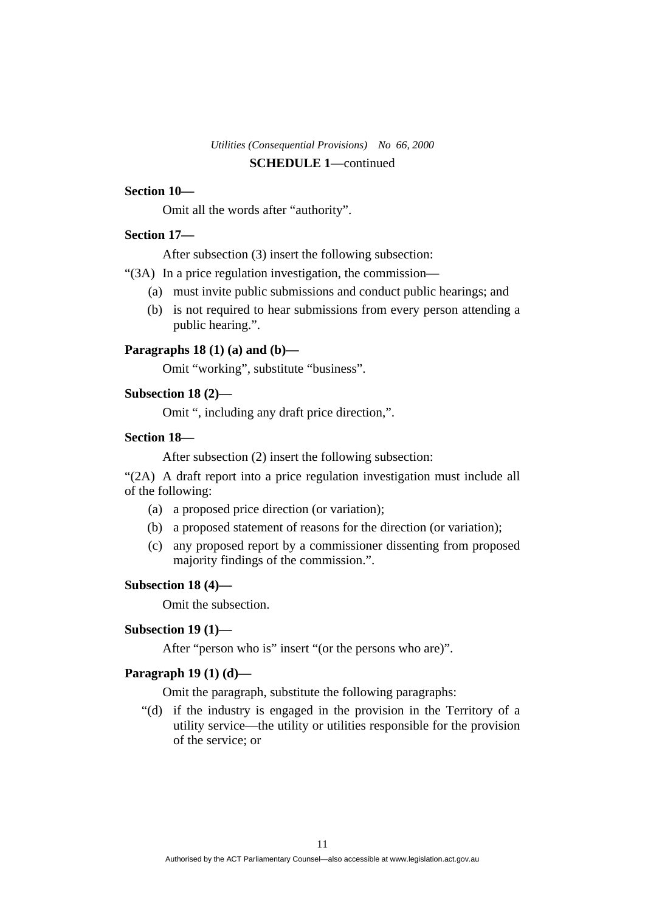### **Section 10—**

Omit all the words after "authority".

### **Section 17—**

After subsection (3) insert the following subsection:

"(3A) In a price regulation investigation, the commission—

- (a) must invite public submissions and conduct public hearings; and
- (b) is not required to hear submissions from every person attending a public hearing.".

#### **Paragraphs 18 (1) (a) and (b)—**

Omit "working", substitute "business".

#### **Subsection 18 (2)—**

Omit ", including any draft price direction,".

### **Section 18—**

After subsection (2) insert the following subsection:

"(2A) A draft report into a price regulation investigation must include all of the following:

- (a) a proposed price direction (or variation);
- (b) a proposed statement of reasons for the direction (or variation);
- (c) any proposed report by a commissioner dissenting from proposed majority findings of the commission.".

#### **Subsection 18 (4)—**

Omit the subsection.

#### **Subsection 19 (1)—**

After "person who is" insert "(or the persons who are)".

#### **Paragraph 19 (1) (d)—**

Omit the paragraph, substitute the following paragraphs:

 "(d) if the industry is engaged in the provision in the Territory of a utility service—the utility or utilities responsible for the provision of the service; or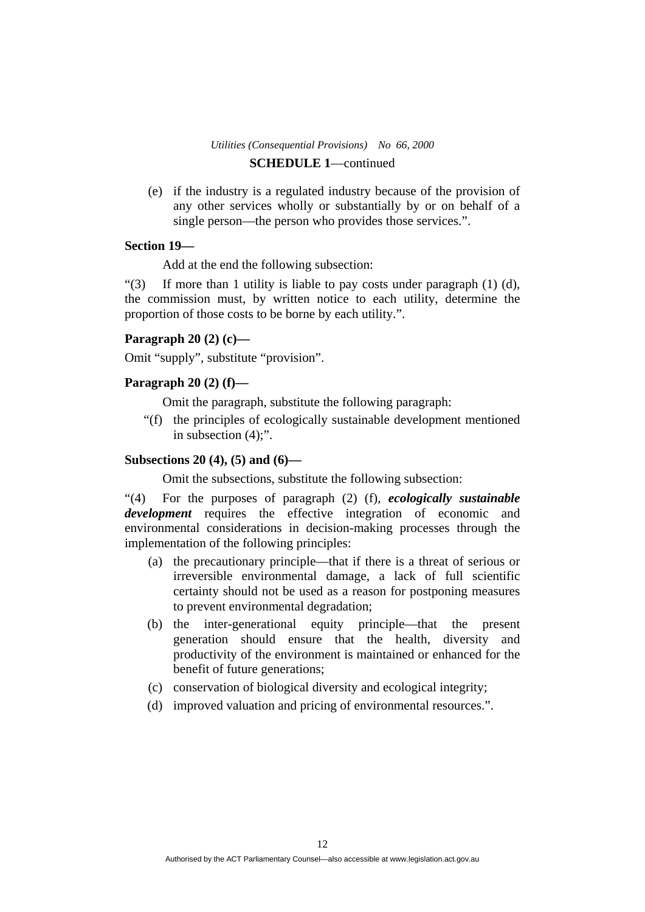(e) if the industry is a regulated industry because of the provision of any other services wholly or substantially by or on behalf of a single person—the person who provides those services.".

### **Section 19—**

Add at the end the following subsection:

"(3) If more than 1 utility is liable to pay costs under paragraph  $(1)$   $(d)$ , the commission must, by written notice to each utility, determine the proportion of those costs to be borne by each utility.".

### **Paragraph 20 (2) (c)—**

Omit "supply", substitute "provision".

#### **Paragraph 20 (2) (f)—**

Omit the paragraph, substitute the following paragraph:

 "(f) the principles of ecologically sustainable development mentioned in subsection (4);".

#### **Subsections 20 (4), (5) and (6)—**

Omit the subsections, substitute the following subsection:

"(4) For the purposes of paragraph (2) (f), *ecologically sustainable development* requires the effective integration of economic and environmental considerations in decision-making processes through the implementation of the following principles:

- (a) the precautionary principle—that if there is a threat of serious or irreversible environmental damage, a lack of full scientific certainty should not be used as a reason for postponing measures to prevent environmental degradation;
- (b) the inter-generational equity principle—that the present generation should ensure that the health, diversity and productivity of the environment is maintained or enhanced for the benefit of future generations;
- (c) conservation of biological diversity and ecological integrity;
- (d) improved valuation and pricing of environmental resources.".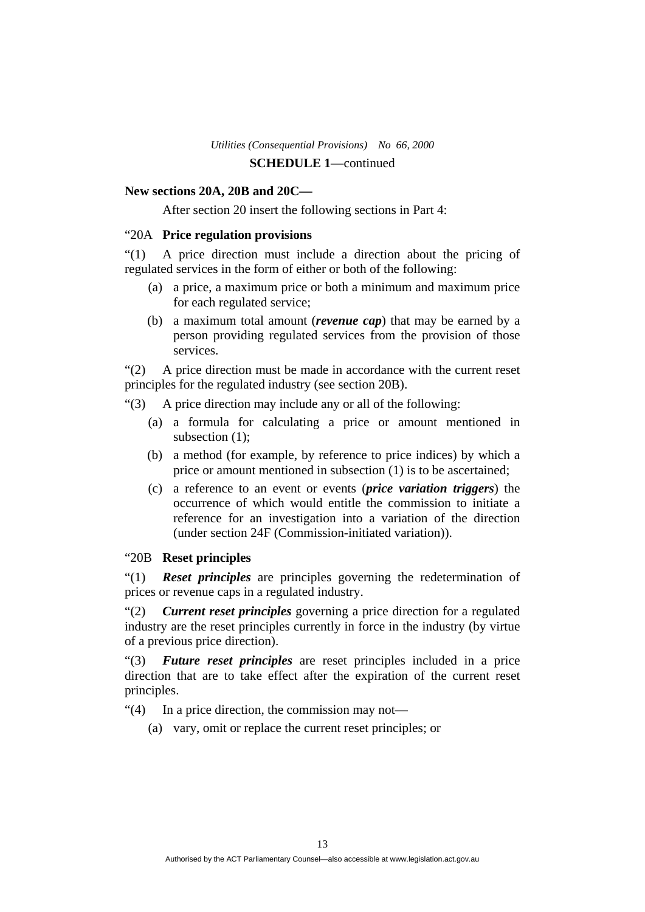### **New sections 20A, 20B and 20C—**

After section 20 insert the following sections in Part 4:

#### "20A **Price regulation provisions**

"(1) A price direction must include a direction about the pricing of regulated services in the form of either or both of the following:

- (a) a price, a maximum price or both a minimum and maximum price for each regulated service;
- (b) a maximum total amount (*revenue cap*) that may be earned by a person providing regulated services from the provision of those services.

"(2) A price direction must be made in accordance with the current reset principles for the regulated industry (see section 20B).

"(3) A price direction may include any or all of the following:

- (a) a formula for calculating a price or amount mentioned in subsection (1):
- (b) a method (for example, by reference to price indices) by which a price or amount mentioned in subsection (1) is to be ascertained;
- (c) a reference to an event or events (*price variation triggers*) the occurrence of which would entitle the commission to initiate a reference for an investigation into a variation of the direction (under section 24F (Commission-initiated variation)).

### "20B **Reset principles**

"(1) *Reset principles* are principles governing the redetermination of prices or revenue caps in a regulated industry.

"(2) *Current reset principles* governing a price direction for a regulated industry are the reset principles currently in force in the industry (by virtue of a previous price direction).

"(3) *Future reset principles* are reset principles included in a price direction that are to take effect after the expiration of the current reset principles.

"(4) In a price direction, the commission may not—

(a) vary, omit or replace the current reset principles; or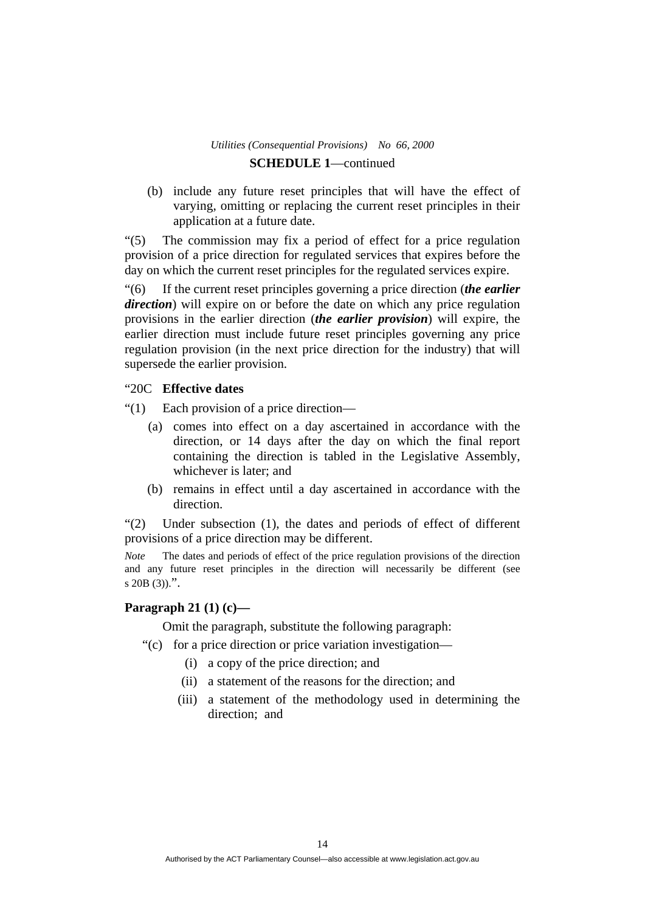(b) include any future reset principles that will have the effect of varying, omitting or replacing the current reset principles in their application at a future date.

"(5) The commission may fix a period of effect for a price regulation provision of a price direction for regulated services that expires before the day on which the current reset principles for the regulated services expire.

"(6) If the current reset principles governing a price direction (*the earlier direction*) will expire on or before the date on which any price regulation provisions in the earlier direction (*the earlier provision*) will expire, the earlier direction must include future reset principles governing any price regulation provision (in the next price direction for the industry) that will supersede the earlier provision.

### "20C **Effective dates**

"(1) Each provision of a price direction—

- (a) comes into effect on a day ascertained in accordance with the direction, or 14 days after the day on which the final report containing the direction is tabled in the Legislative Assembly, whichever is later; and
- (b) remains in effect until a day ascertained in accordance with the direction.

"(2) Under subsection (1), the dates and periods of effect of different provisions of a price direction may be different.

*Note* The dates and periods of effect of the price regulation provisions of the direction and any future reset principles in the direction will necessarily be different (see s  $20B(3)$ .".

#### **Paragraph 21 (1) (c)—**

Omit the paragraph, substitute the following paragraph:

- "(c) for a price direction or price variation investigation—
	- (i) a copy of the price direction; and
	- (ii) a statement of the reasons for the direction; and
	- (iii) a statement of the methodology used in determining the direction; and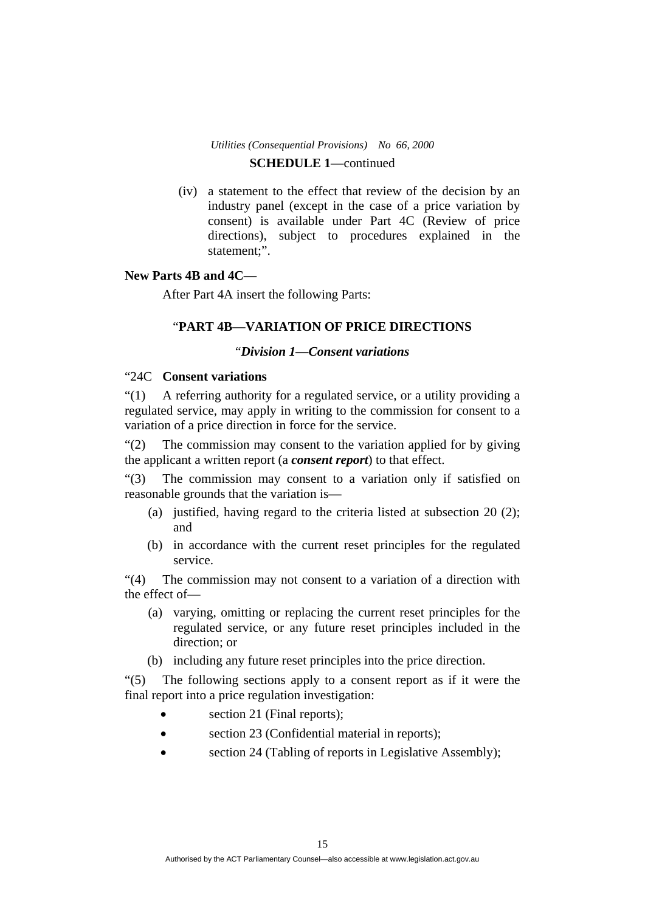(iv) a statement to the effect that review of the decision by an industry panel (except in the case of a price variation by consent) is available under Part 4C (Review of price directions), subject to procedures explained in the statement;".

### **New Parts 4B and 4C—**

After Part 4A insert the following Parts:

### "**PART 4B—VARIATION OF PRICE DIRECTIONS**

### "*Division 1—Consent variations*

### "24C **Consent variations**

"(1) A referring authority for a regulated service, or a utility providing a regulated service, may apply in writing to the commission for consent to a variation of a price direction in force for the service.

"(2) The commission may consent to the variation applied for by giving the applicant a written report (a *consent report*) to that effect.

"(3) The commission may consent to a variation only if satisfied on reasonable grounds that the variation is—

- (a) justified, having regard to the criteria listed at subsection  $20(2)$ ; and
- (b) in accordance with the current reset principles for the regulated service.

"(4) The commission may not consent to a variation of a direction with the effect of—

- (a) varying, omitting or replacing the current reset principles for the regulated service, or any future reset principles included in the direction; or
- (b) including any future reset principles into the price direction.

"(5) The following sections apply to a consent report as if it were the final report into a price regulation investigation:

- section 21 (Final reports);
- section 23 (Confidential material in reports);
- section 24 (Tabling of reports in Legislative Assembly);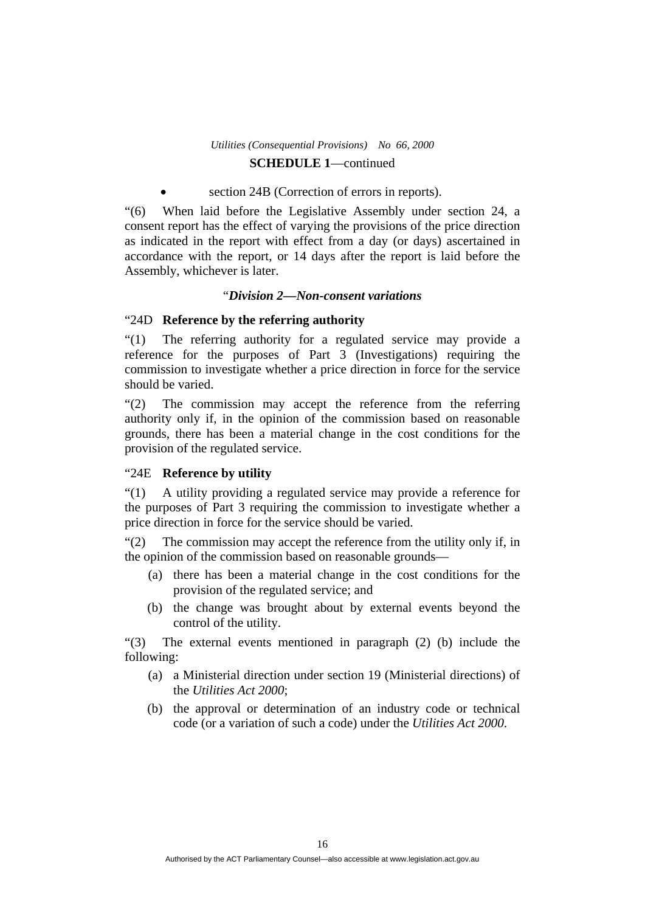#### section 24B (Correction of errors in reports).

"(6) When laid before the Legislative Assembly under section 24, a consent report has the effect of varying the provisions of the price direction as indicated in the report with effect from a day (or days) ascertained in accordance with the report, or 14 days after the report is laid before the Assembly, whichever is later.

#### "*Division 2—Non-consent variations*

#### "24D **Reference by the referring authority**

"(1) The referring authority for a regulated service may provide a reference for the purposes of Part 3 (Investigations) requiring the commission to investigate whether a price direction in force for the service should be varied.

"(2) The commission may accept the reference from the referring authority only if, in the opinion of the commission based on reasonable grounds, there has been a material change in the cost conditions for the provision of the regulated service.

#### "24E **Reference by utility**

"(1) A utility providing a regulated service may provide a reference for the purposes of Part 3 requiring the commission to investigate whether a price direction in force for the service should be varied.

"(2) The commission may accept the reference from the utility only if, in the opinion of the commission based on reasonable grounds—

- (a) there has been a material change in the cost conditions for the provision of the regulated service; and
- (b) the change was brought about by external events beyond the control of the utility.

"(3) The external events mentioned in paragraph (2) (b) include the following:

- (a) a Ministerial direction under section 19 (Ministerial directions) of the *Utilities Act 2000*;
- (b) the approval or determination of an industry code or technical code (or a variation of such a code) under the *Utilities Act 2000*.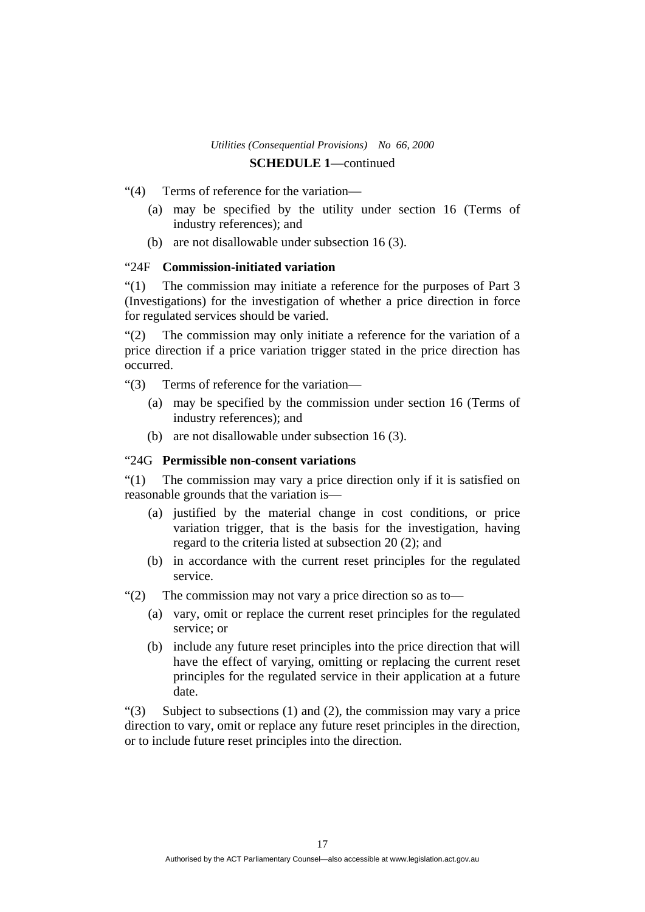"(4) Terms of reference for the variation—

- (a) may be specified by the utility under section 16 (Terms of industry references); and
- (b) are not disallowable under subsection 16 (3).

### "24F **Commission-initiated variation**

"(1) The commission may initiate a reference for the purposes of Part 3 (Investigations) for the investigation of whether a price direction in force for regulated services should be varied.

"(2) The commission may only initiate a reference for the variation of a price direction if a price variation trigger stated in the price direction has occurred.

"(3) Terms of reference for the variation—

- (a) may be specified by the commission under section 16 (Terms of industry references); and
- (b) are not disallowable under subsection 16 (3).

### "24G **Permissible non-consent variations**

"(1) The commission may vary a price direction only if it is satisfied on reasonable grounds that the variation is—

- (a) justified by the material change in cost conditions, or price variation trigger, that is the basis for the investigation, having regard to the criteria listed at subsection 20 (2); and
- (b) in accordance with the current reset principles for the regulated service.

"(2) The commission may not vary a price direction so as to—

- (a) vary, omit or replace the current reset principles for the regulated service; or
- (b) include any future reset principles into the price direction that will have the effect of varying, omitting or replacing the current reset principles for the regulated service in their application at a future date.

"(3) Subject to subsections (1) and (2), the commission may vary a price direction to vary, omit or replace any future reset principles in the direction, or to include future reset principles into the direction.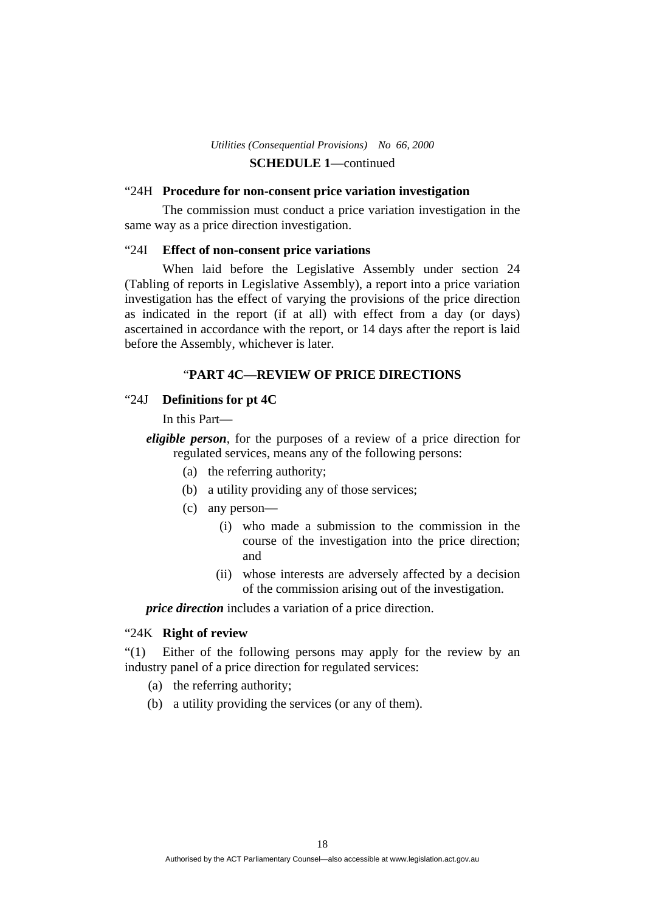#### "24H **Procedure for non-consent price variation investigation**

 The commission must conduct a price variation investigation in the same way as a price direction investigation.

#### "24I **Effect of non-consent price variations**

When laid before the Legislative Assembly under section 24 (Tabling of reports in Legislative Assembly), a report into a price variation investigation has the effect of varying the provisions of the price direction as indicated in the report (if at all) with effect from a day (or days) ascertained in accordance with the report, or 14 days after the report is laid before the Assembly, whichever is later.

### "**PART 4C—REVIEW OF PRICE DIRECTIONS**

### "24J **Definitions for pt 4C**

In this Part—

- *eligible person*, for the purposes of a review of a price direction for regulated services, means any of the following persons:
	- (a) the referring authority;
	- (b) a utility providing any of those services;
	- (c) any person—
		- (i) who made a submission to the commission in the course of the investigation into the price direction; and
		- (ii) whose interests are adversely affected by a decision of the commission arising out of the investigation.

*price direction* includes a variation of a price direction.

### "24K **Right of review**

"(1) Either of the following persons may apply for the review by an industry panel of a price direction for regulated services:

- (a) the referring authority;
- (b) a utility providing the services (or any of them).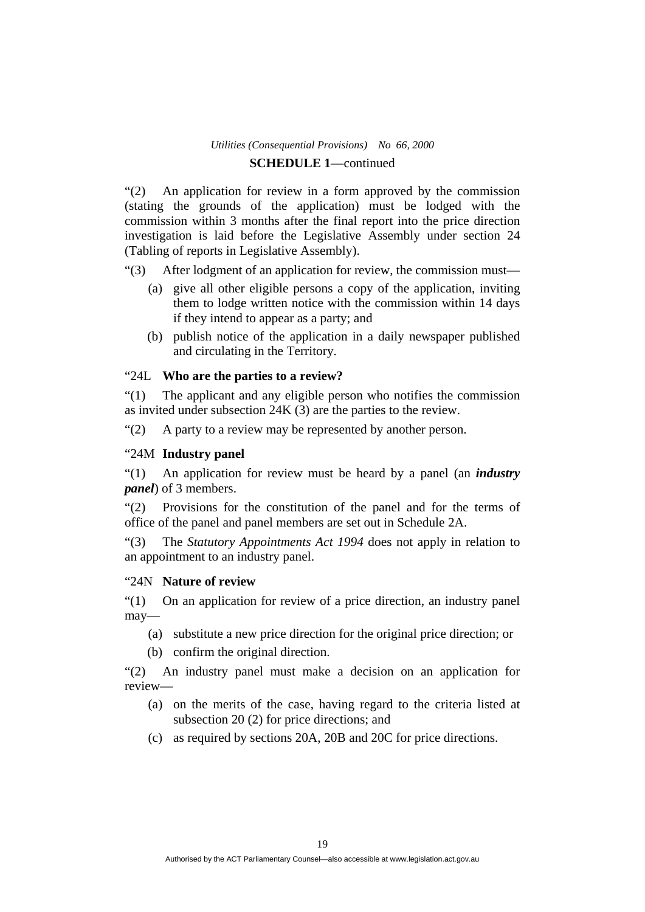"(2) An application for review in a form approved by the commission (stating the grounds of the application) must be lodged with the commission within 3 months after the final report into the price direction investigation is laid before the Legislative Assembly under section 24 (Tabling of reports in Legislative Assembly).

"(3) After lodgment of an application for review, the commission must—

- (a) give all other eligible persons a copy of the application, inviting them to lodge written notice with the commission within 14 days if they intend to appear as a party; and
- (b) publish notice of the application in a daily newspaper published and circulating in the Territory.

### "24L **Who are the parties to a review?**

"(1) The applicant and any eligible person who notifies the commission as invited under subsection 24K (3) are the parties to the review.

"(2) A party to a review may be represented by another person.

### "24M **Industry panel**

"(1) An application for review must be heard by a panel (an *industry panel*) of 3 members.

"(2) Provisions for the constitution of the panel and for the terms of office of the panel and panel members are set out in Schedule 2A.

"(3) The *Statutory Appointments Act 1994* does not apply in relation to an appointment to an industry panel.

#### "24N **Nature of review**

"(1) On an application for review of a price direction, an industry panel may—

- (a) substitute a new price direction for the original price direction; or
- (b) confirm the original direction.

"(2) An industry panel must make a decision on an application for review—

- (a) on the merits of the case, having regard to the criteria listed at subsection 20 (2) for price directions; and
- (c) as required by sections 20A, 20B and 20C for price directions.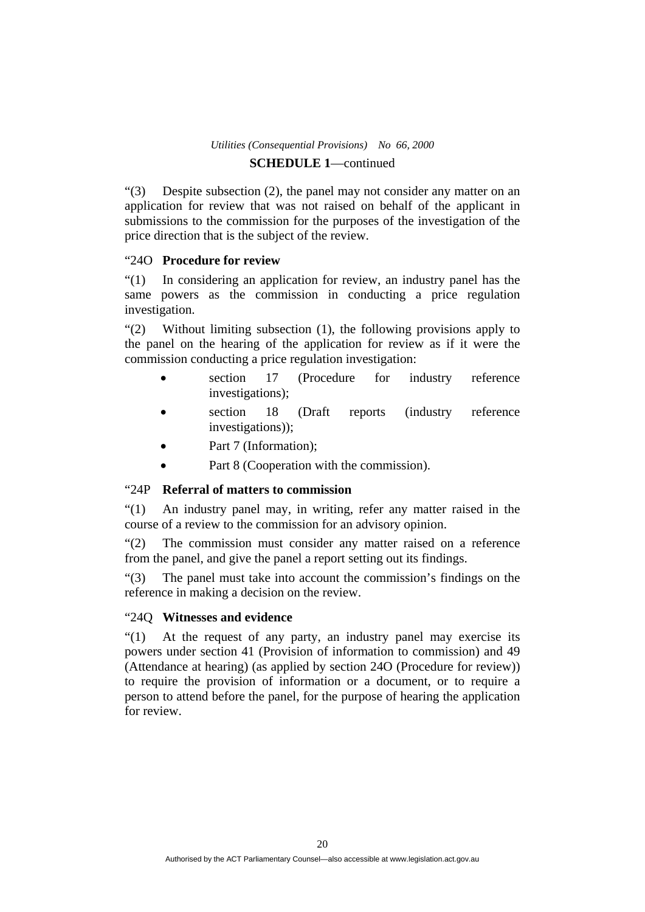"(3) Despite subsection (2), the panel may not consider any matter on an application for review that was not raised on behalf of the applicant in submissions to the commission for the purposes of the investigation of the price direction that is the subject of the review.

### "24O **Procedure for review**

"(1) In considering an application for review, an industry panel has the same powers as the commission in conducting a price regulation investigation.

"(2) Without limiting subsection (1), the following provisions apply to the panel on the hearing of the application for review as if it were the commission conducting a price regulation investigation:

- section 17 (Procedure for industry reference investigations);
- section 18 (Draft reports (industry reference investigations));
- Part 7 (Information);
- Part 8 (Cooperation with the commission).

### "24P **Referral of matters to commission**

"(1) An industry panel may, in writing, refer any matter raised in the course of a review to the commission for an advisory opinion.

"(2) The commission must consider any matter raised on a reference from the panel, and give the panel a report setting out its findings.

"(3) The panel must take into account the commission's findings on the reference in making a decision on the review.

### "24Q **Witnesses and evidence**

"(1) At the request of any party, an industry panel may exercise its powers under section 41 (Provision of information to commission) and 49 (Attendance at hearing) (as applied by section 24O (Procedure for review)) to require the provision of information or a document, or to require a person to attend before the panel, for the purpose of hearing the application for review.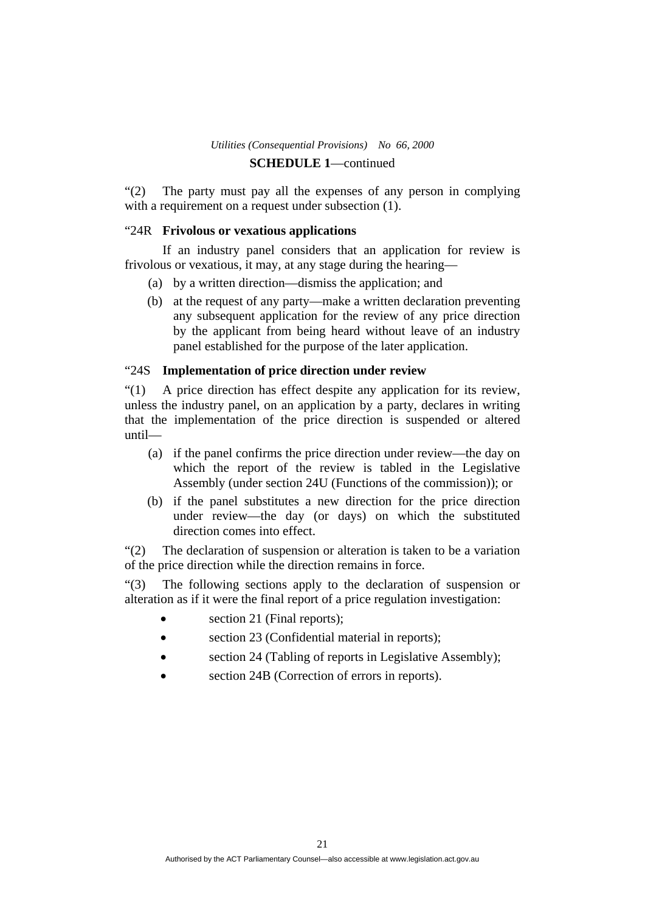"(2) The party must pay all the expenses of any person in complying with a requirement on a request under subsection (1).

#### "24R **Frivolous or vexatious applications**

 If an industry panel considers that an application for review is frivolous or vexatious, it may, at any stage during the hearing—

- (a) by a written direction—dismiss the application; and
- (b) at the request of any party—make a written declaration preventing any subsequent application for the review of any price direction by the applicant from being heard without leave of an industry panel established for the purpose of the later application.

#### "24S **Implementation of price direction under review**

"(1) A price direction has effect despite any application for its review, unless the industry panel, on an application by a party, declares in writing that the implementation of the price direction is suspended or altered until—

- (a) if the panel confirms the price direction under review—the day on which the report of the review is tabled in the Legislative Assembly (under section 24U (Functions of the commission)); or
- (b) if the panel substitutes a new direction for the price direction under review—the day (or days) on which the substituted direction comes into effect.

"(2) The declaration of suspension or alteration is taken to be a variation of the price direction while the direction remains in force.

"(3) The following sections apply to the declaration of suspension or alteration as if it were the final report of a price regulation investigation:

- section 21 (Final reports);
- section 23 (Confidential material in reports);
- section 24 (Tabling of reports in Legislative Assembly);
- section 24B (Correction of errors in reports).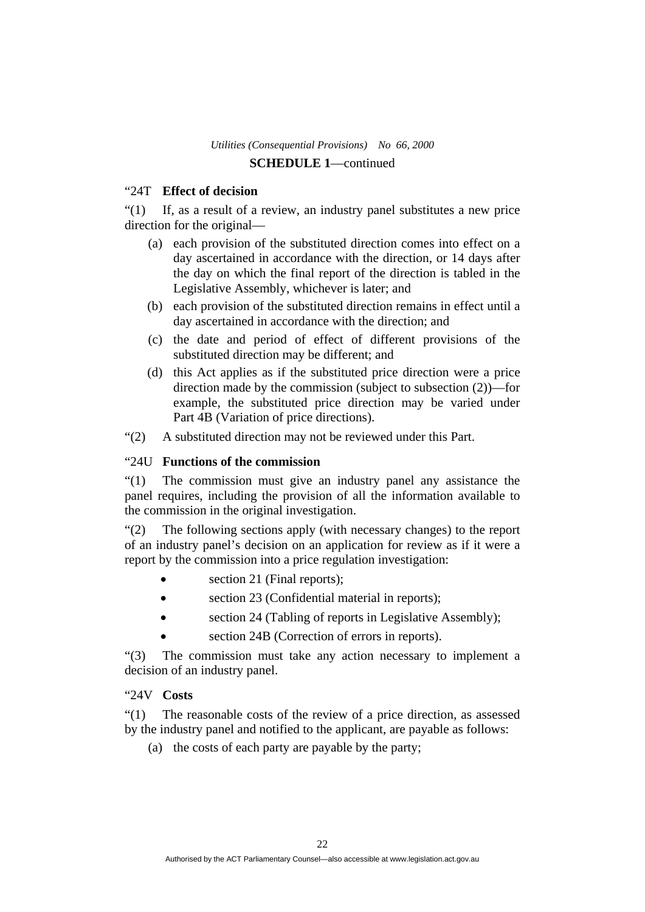### "24T **Effect of decision**

"(1) If, as a result of a review, an industry panel substitutes a new price direction for the original—

- (a) each provision of the substituted direction comes into effect on a day ascertained in accordance with the direction, or 14 days after the day on which the final report of the direction is tabled in the Legislative Assembly, whichever is later; and
- (b) each provision of the substituted direction remains in effect until a day ascertained in accordance with the direction; and
- (c) the date and period of effect of different provisions of the substituted direction may be different; and
- (d) this Act applies as if the substituted price direction were a price direction made by the commission (subject to subsection (2))—for example, the substituted price direction may be varied under Part 4B (Variation of price directions).
- "(2) A substituted direction may not be reviewed under this Part.

### "24U **Functions of the commission**

"(1) The commission must give an industry panel any assistance the panel requires, including the provision of all the information available to the commission in the original investigation.

"(2) The following sections apply (with necessary changes) to the report of an industry panel's decision on an application for review as if it were a report by the commission into a price regulation investigation:

- section 21 (Final reports);
- section 23 (Confidential material in reports);
- section 24 (Tabling of reports in Legislative Assembly);
- section 24B (Correction of errors in reports).

"(3) The commission must take any action necessary to implement a decision of an industry panel.

### "24V **Costs**

"(1) The reasonable costs of the review of a price direction, as assessed by the industry panel and notified to the applicant, are payable as follows:

(a) the costs of each party are payable by the party;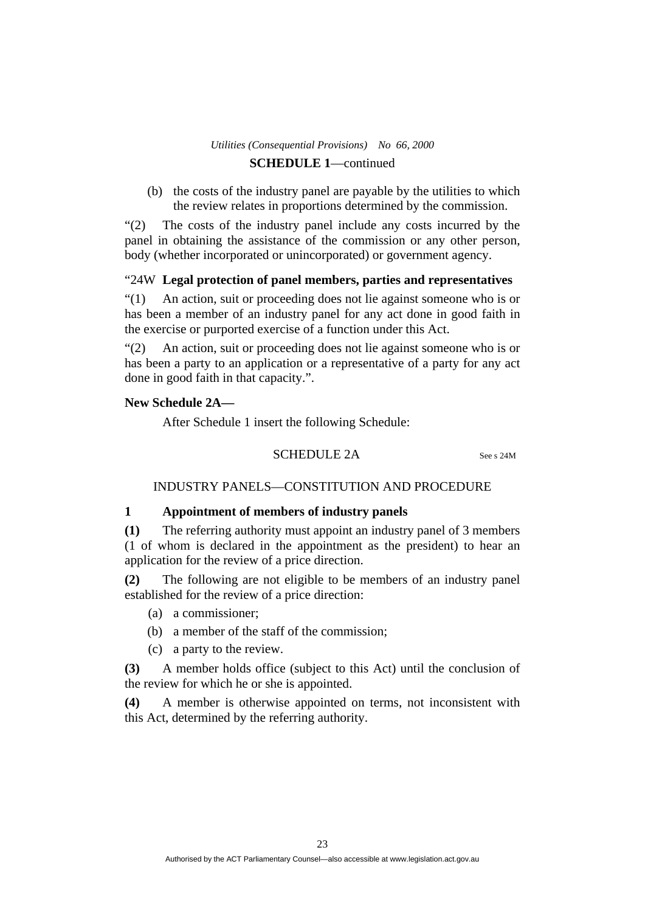(b) the costs of the industry panel are payable by the utilities to which the review relates in proportions determined by the commission.

"(2) The costs of the industry panel include any costs incurred by the panel in obtaining the assistance of the commission or any other person, body (whether incorporated or unincorporated) or government agency.

### "24W **Legal protection of panel members, parties and representatives**

"(1) An action, suit or proceeding does not lie against someone who is or has been a member of an industry panel for any act done in good faith in the exercise or purported exercise of a function under this Act.

"(2) An action, suit or proceeding does not lie against someone who is or has been a party to an application or a representative of a party for any act done in good faith in that capacity.".

### **New Schedule 2A—**

After Schedule 1 insert the following Schedule:

#### SCHEDULE 2A See s 24M

### INDUSTRY PANELS—CONSTITUTION AND PROCEDURE

#### **1 Appointment of members of industry panels**

**(1)** The referring authority must appoint an industry panel of 3 members (1 of whom is declared in the appointment as the president) to hear an application for the review of a price direction.

**(2)** The following are not eligible to be members of an industry panel established for the review of a price direction:

- (a) a commissioner;
- (b) a member of the staff of the commission;
- (c) a party to the review.

**(3)** A member holds office (subject to this Act) until the conclusion of the review for which he or she is appointed.

**(4)** A member is otherwise appointed on terms, not inconsistent with this Act, determined by the referring authority.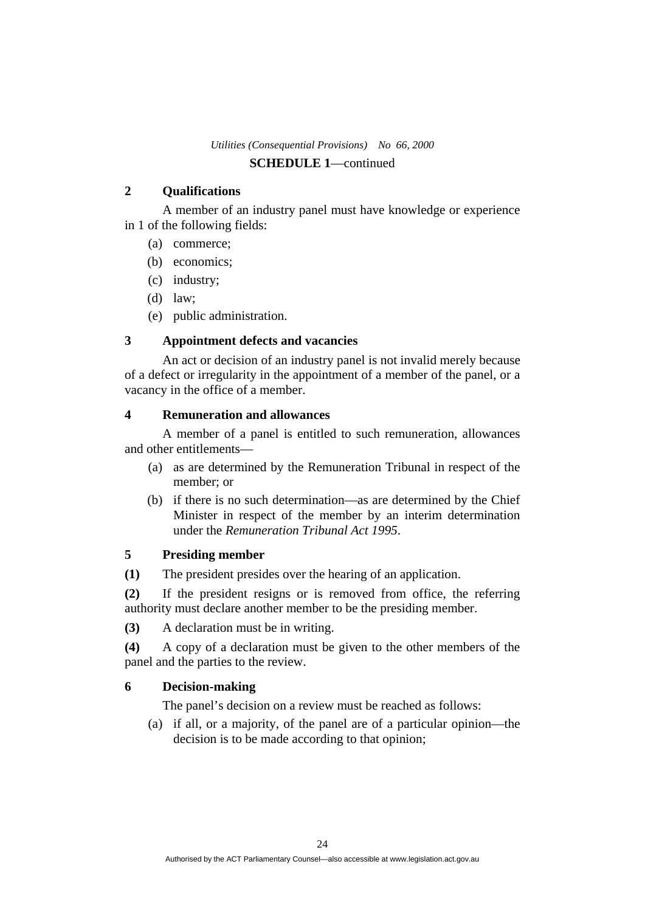### **2 Qualifications**

A member of an industry panel must have knowledge or experience in 1 of the following fields:

- (a) commerce;
- (b) economics;
- (c) industry;
- (d) law;
- (e) public administration.

### **3 Appointment defects and vacancies**

 An act or decision of an industry panel is not invalid merely because of a defect or irregularity in the appointment of a member of the panel, or a vacancy in the office of a member.

### **4 Remuneration and allowances**

 A member of a panel is entitled to such remuneration, allowances and other entitlements—

- (a) as are determined by the Remuneration Tribunal in respect of the member; or
- (b) if there is no such determination—as are determined by the Chief Minister in respect of the member by an interim determination under the *Remuneration Tribunal Act 1995*.

### **5 Presiding member**

**(1)** The president presides over the hearing of an application.

**(2)** If the president resigns or is removed from office, the referring authority must declare another member to be the presiding member.

**(3)** A declaration must be in writing.

**(4)** A copy of a declaration must be given to the other members of the panel and the parties to the review.

### **6 Decision-making**

The panel's decision on a review must be reached as follows:

 (a) if all, or a majority, of the panel are of a particular opinion—the decision is to be made according to that opinion;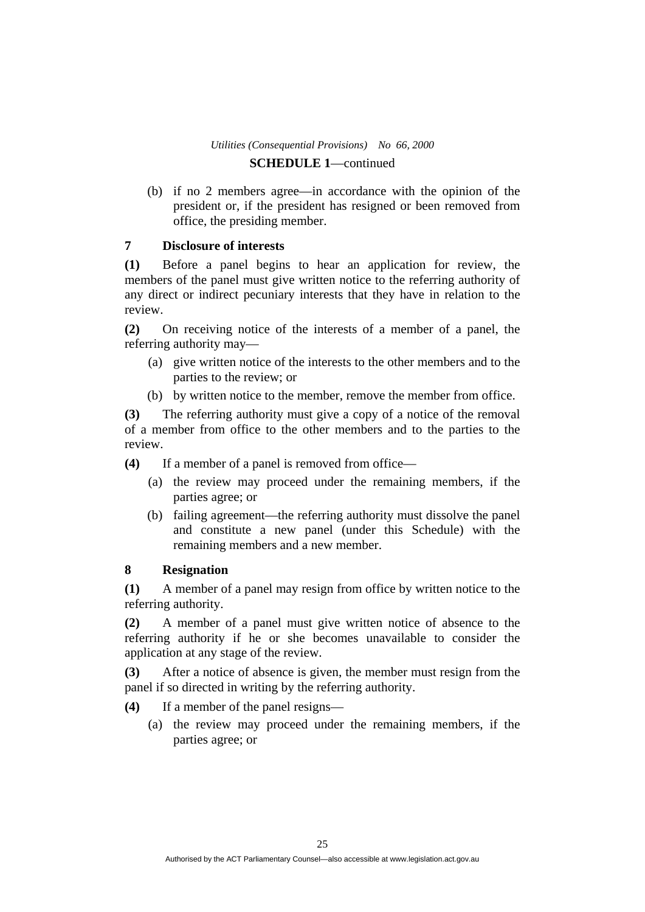(b) if no 2 members agree—in accordance with the opinion of the president or, if the president has resigned or been removed from office, the presiding member.

### **7 Disclosure of interests**

**(1)** Before a panel begins to hear an application for review, the members of the panel must give written notice to the referring authority of any direct or indirect pecuniary interests that they have in relation to the review.

**(2)** On receiving notice of the interests of a member of a panel, the referring authority may—

- (a) give written notice of the interests to the other members and to the parties to the review; or
- (b) by written notice to the member, remove the member from office.

**(3)** The referring authority must give a copy of a notice of the removal of a member from office to the other members and to the parties to the review.

**(4)** If a member of a panel is removed from office—

- (a) the review may proceed under the remaining members, if the parties agree; or
- (b) failing agreement—the referring authority must dissolve the panel and constitute a new panel (under this Schedule) with the remaining members and a new member.

#### **8 Resignation**

**(1)** A member of a panel may resign from office by written notice to the referring authority.

**(2)** A member of a panel must give written notice of absence to the referring authority if he or she becomes unavailable to consider the application at any stage of the review.

**(3)** After a notice of absence is given, the member must resign from the panel if so directed in writing by the referring authority.

- **(4)** If a member of the panel resigns—
	- (a) the review may proceed under the remaining members, if the parties agree; or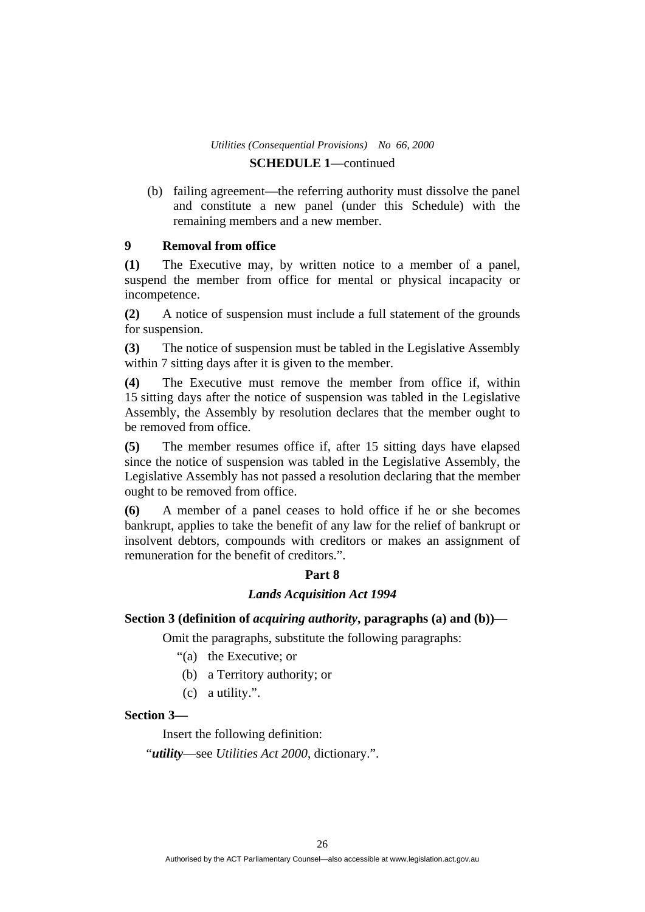(b) failing agreement—the referring authority must dissolve the panel and constitute a new panel (under this Schedule) with the remaining members and a new member.

### **9 Removal from office**

**(1)** The Executive may, by written notice to a member of a panel, suspend the member from office for mental or physical incapacity or incompetence.

**(2)** A notice of suspension must include a full statement of the grounds for suspension.

**(3)** The notice of suspension must be tabled in the Legislative Assembly within 7 sitting days after it is given to the member.

**(4)** The Executive must remove the member from office if, within 15 sitting days after the notice of suspension was tabled in the Legislative Assembly, the Assembly by resolution declares that the member ought to be removed from office.

**(5)** The member resumes office if, after 15 sitting days have elapsed since the notice of suspension was tabled in the Legislative Assembly, the Legislative Assembly has not passed a resolution declaring that the member ought to be removed from office.

**(6)** A member of a panel ceases to hold office if he or she becomes bankrupt, applies to take the benefit of any law for the relief of bankrupt or insolvent debtors, compounds with creditors or makes an assignment of remuneration for the benefit of creditors.".

### **Part 8**

#### *Lands Acquisition Act 1994*

### **Section 3 (definition of** *acquiring authority***, paragraphs (a) and (b))—**

Omit the paragraphs, substitute the following paragraphs:

- "(a) the Executive; or
- (b) a Territory authority; or
- (c) a utility.".

#### **Section 3—**

Insert the following definition:

"*utility*—see *Utilities Act 2000*, dictionary.".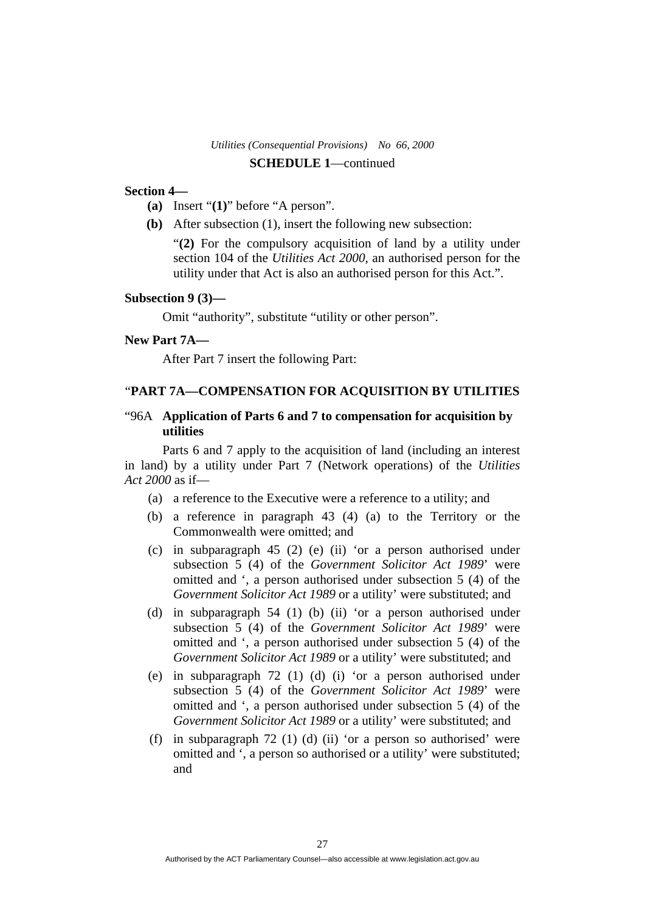#### **Section 4—**

- **(a)** Insert "**(1)**" before "A person".
- **(b)** After subsection (1), insert the following new subsection:

"**(2)** For the compulsory acquisition of land by a utility under section 104 of the *Utilities Act 2000*, an authorised person for the utility under that Act is also an authorised person for this Act.".

#### **Subsection 9 (3)—**

Omit "authority", substitute "utility or other person".

#### **New Part 7A—**

After Part 7 insert the following Part:

### "**PART 7A—COMPENSATION FOR ACQUISITION BY UTILITIES**

### "96A **Application of Parts 6 and 7 to compensation for acquisition by utilities**

 Parts 6 and 7 apply to the acquisition of land (including an interest in land) by a utility under Part 7 (Network operations) of the *Utilities Act 2000* as if—

- (a) a reference to the Executive were a reference to a utility; and
- (b) a reference in paragraph 43 (4) (a) to the Territory or the Commonwealth were omitted; and
- (c) in subparagraph 45 (2) (e) (ii) 'or a person authorised under subsection 5 (4) of the *Government Solicitor Act 1989*' were omitted and ', a person authorised under subsection 5 (4) of the *Government Solicitor Act 1989* or a utility' were substituted; and
- (d) in subparagraph 54 (1) (b) (ii) 'or a person authorised under subsection 5 (4) of the *Government Solicitor Act 1989*' were omitted and ', a person authorised under subsection 5 (4) of the *Government Solicitor Act 1989* or a utility' were substituted; and
- (e) in subparagraph 72 (1) (d) (i) 'or a person authorised under subsection 5 (4) of the *Government Solicitor Act 1989*' were omitted and ', a person authorised under subsection 5 (4) of the *Government Solicitor Act 1989* or a utility' were substituted; and
- (f) in subparagraph  $72$  (1) (d) (ii) 'or a person so authorised' were omitted and ', a person so authorised or a utility' were substituted; and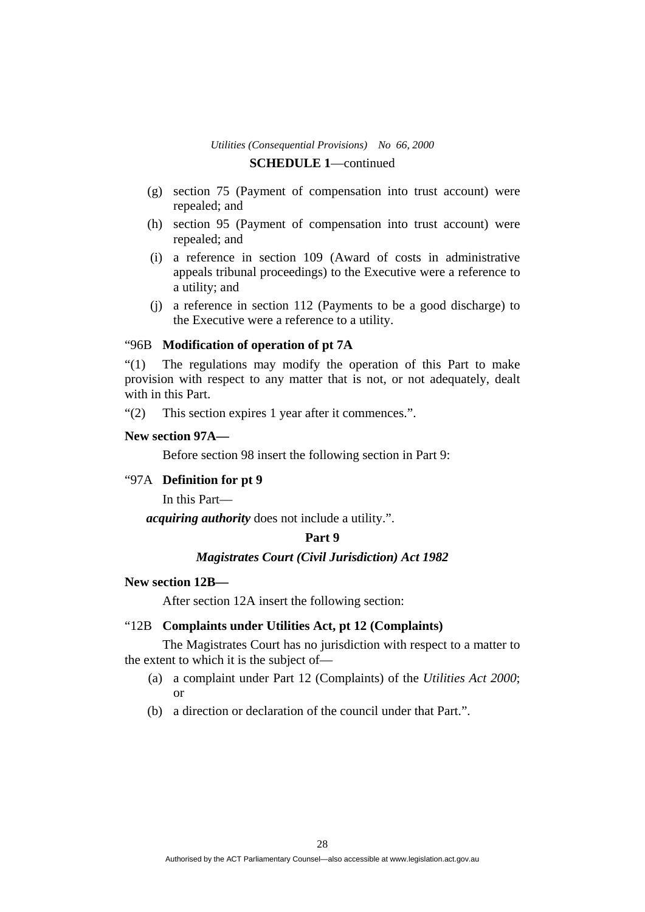- (g) section 75 (Payment of compensation into trust account) were repealed; and
- (h) section 95 (Payment of compensation into trust account) were repealed; and
- (i) a reference in section 109 (Award of costs in administrative appeals tribunal proceedings) to the Executive were a reference to a utility; and
- (j) a reference in section 112 (Payments to be a good discharge) to the Executive were a reference to a utility.

### "96B **Modification of operation of pt 7A**

"(1) The regulations may modify the operation of this Part to make provision with respect to any matter that is not, or not adequately, dealt with in this Part.

"(2) This section expires 1 year after it commences.".

### **New section 97A—**

Before section 98 insert the following section in Part 9:

### "97A **Definition for pt 9**

In this Part—

*acquiring authority* does not include a utility.".

#### **Part 9**

#### *Magistrates Court (Civil Jurisdiction) Act 1982*

#### **New section 12B—**

After section 12A insert the following section:

#### "12B **Complaints under Utilities Act, pt 12 (Complaints)**

 The Magistrates Court has no jurisdiction with respect to a matter to the extent to which it is the subject of—

- (a) a complaint under Part 12 (Complaints) of the *Utilities Act 2000*; or
- (b) a direction or declaration of the council under that Part.".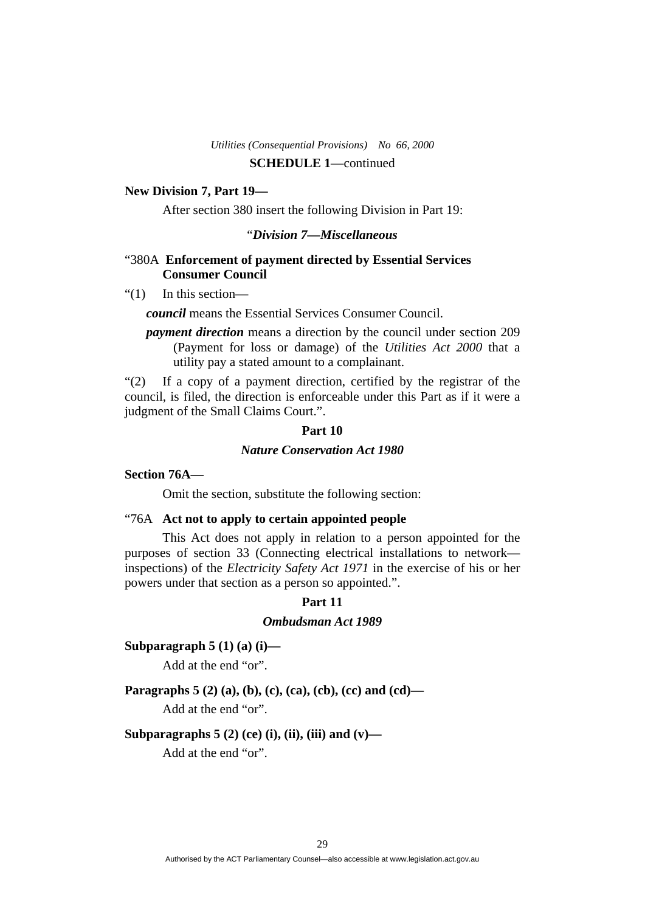#### **New Division 7, Part 19—**

After section 380 insert the following Division in Part 19:

### "*Division 7—Miscellaneous*

### "380A **Enforcement of payment directed by Essential Services Consumer Council**

"(1) In this section—

*council* means the Essential Services Consumer Council.

*payment direction* means a direction by the council under section 209 (Payment for loss or damage) of the *Utilities Act 2000* that a utility pay a stated amount to a complainant.

"(2) If a copy of a payment direction, certified by the registrar of the council, is filed, the direction is enforceable under this Part as if it were a judgment of the Small Claims Court.".

#### **Part 10**

#### *Nature Conservation Act 1980*

#### **Section 76A—**

Omit the section, substitute the following section:

#### "76A **Act not to apply to certain appointed people**

 This Act does not apply in relation to a person appointed for the purposes of section 33 (Connecting electrical installations to network inspections) of the *Electricity Safety Act 1971* in the exercise of his or her powers under that section as a person so appointed.".

#### **Part 11**

#### *Ombudsman Act 1989*

#### **Subparagraph 5 (1) (a) (i)—**

Add at the end "or".

### **Paragraphs 5 (2) (a), (b), (c), (ca), (cb), (cc) and (cd)—**

Add at the end "or".

### **Subparagraphs 5 (2) (ce) (i), (ii), (iii) and (v)—**

Add at the end "or".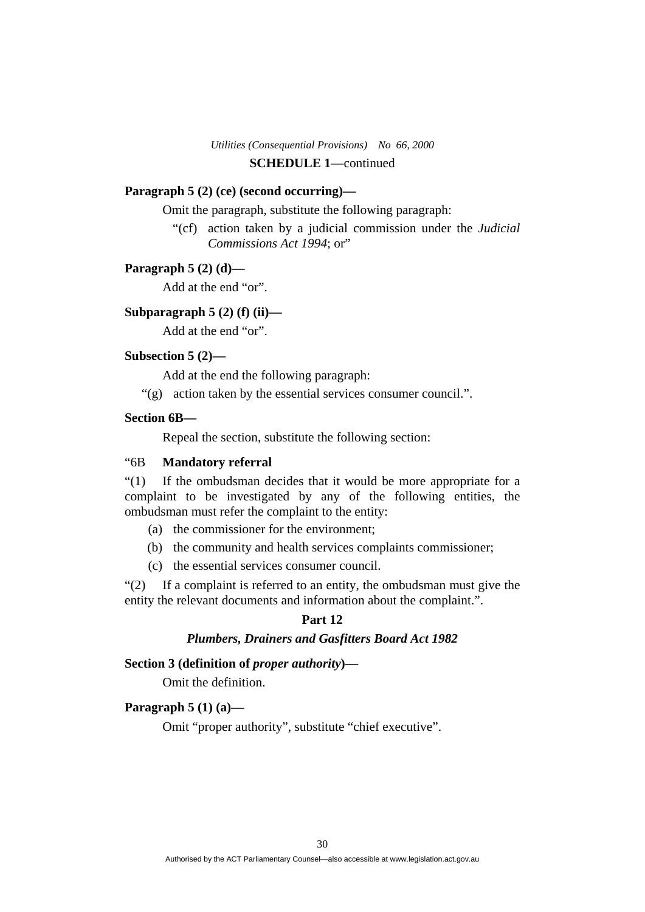### **Paragraph 5 (2) (ce) (second occurring)—**

Omit the paragraph, substitute the following paragraph:

 "(cf) action taken by a judicial commission under the *Judicial Commissions Act 1994*; or"

### **Paragraph 5 (2) (d)—**

Add at the end "or".

#### **Subparagraph 5 (2) (f) (ii)—**

Add at the end "or".

### **Subsection 5 (2)—**

Add at the end the following paragraph:

"(g) action taken by the essential services consumer council.".

#### **Section 6B—**

Repeal the section, substitute the following section:

### "6B **Mandatory referral**

"(1) If the ombudsman decides that it would be more appropriate for a complaint to be investigated by any of the following entities, the ombudsman must refer the complaint to the entity:

- (a) the commissioner for the environment;
- (b) the community and health services complaints commissioner;
- (c) the essential services consumer council.

"(2) If a complaint is referred to an entity, the ombudsman must give the entity the relevant documents and information about the complaint.".

#### **Part 12**

#### *Plumbers, Drainers and Gasfitters Board Act 1982*

#### **Section 3 (definition of** *proper authority***)—**

Omit the definition.

### **Paragraph 5 (1) (a)—**

Omit "proper authority", substitute "chief executive".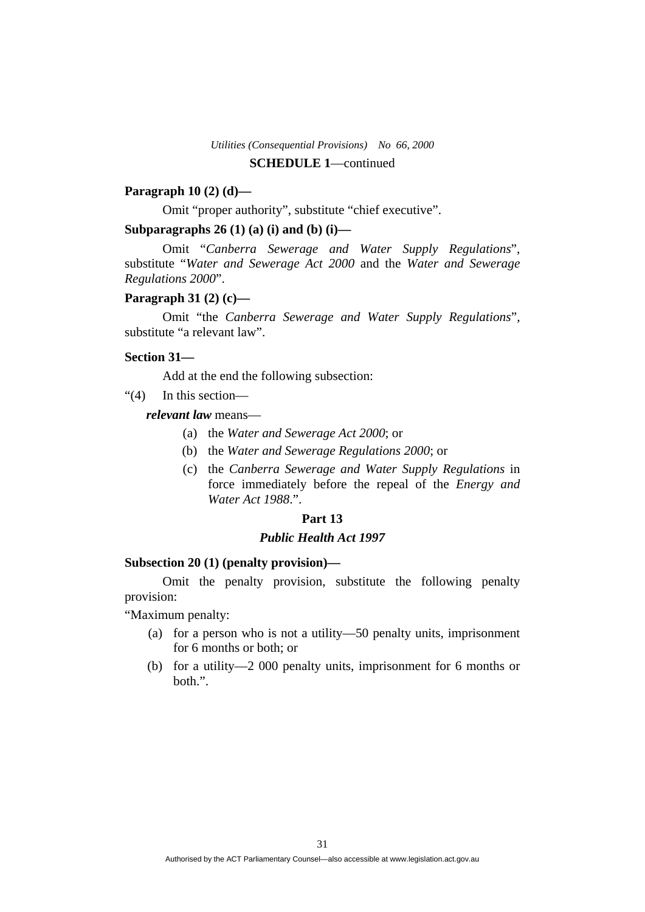#### **Paragraph 10 (2) (d)—**

Omit "proper authority", substitute "chief executive".

#### **Subparagraphs 26 (1) (a) (i) and (b) (i)—**

 Omit "*Canberra Sewerage and Water Supply Regulations*", substitute "*Water and Sewerage Act 2000* and the *Water and Sewerage Regulations 2000*".

### **Paragraph 31 (2) (c)—**

 Omit "the *Canberra Sewerage and Water Supply Regulations*", substitute "a relevant law".

#### **Section 31—**

Add at the end the following subsection:

"(4) In this section—

*relevant law* means—

- (a) the *Water and Sewerage Act 2000*; or
- (b) the *Water and Sewerage Regulations 2000*; or
- (c) the *Canberra Sewerage and Water Supply Regulations* in force immediately before the repeal of the *Energy and Water Act 1988*.".

### **Part 13**

### *Public Health Act 1997*

#### **Subsection 20 (1) (penalty provision)—**

 Omit the penalty provision, substitute the following penalty provision:

"Maximum penalty:

- (a) for a person who is not a utility—50 penalty units, imprisonment for 6 months or both; or
- (b) for a utility—2 000 penalty units, imprisonment for 6 months or both.".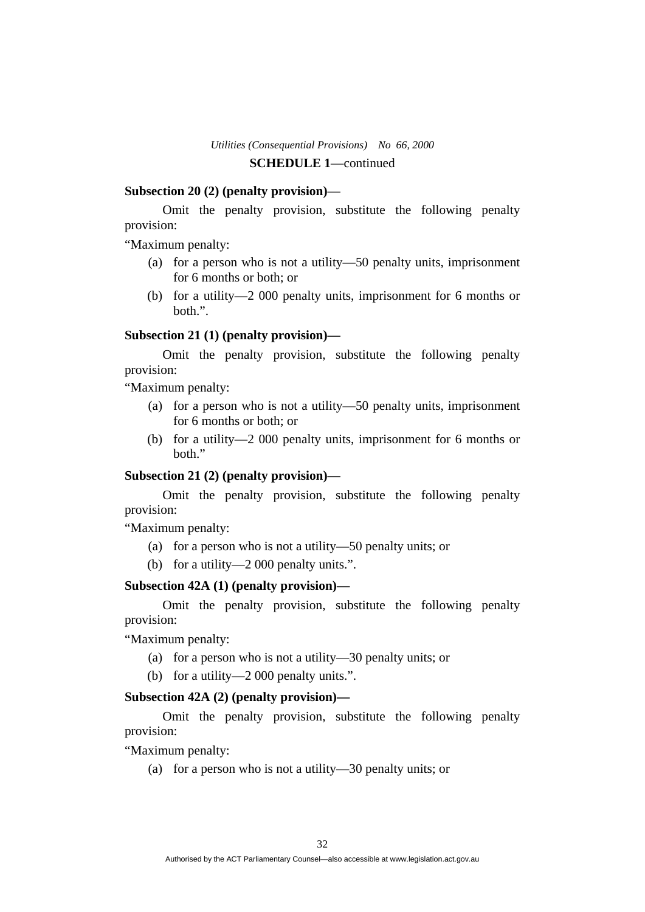#### **Subsection 20 (2) (penalty provision)**—

 Omit the penalty provision, substitute the following penalty provision:

"Maximum penalty:

- (a) for a person who is not a utility—50 penalty units, imprisonment for 6 months or both; or
- (b) for a utility—2 000 penalty units, imprisonment for 6 months or both.".

#### **Subsection 21 (1) (penalty provision)—**

 Omit the penalty provision, substitute the following penalty provision:

"Maximum penalty:

- (a) for a person who is not a utility—50 penalty units, imprisonment for 6 months or both; or
- (b) for a utility—2 000 penalty units, imprisonment for 6 months or both."

### **Subsection 21 (2) (penalty provision)—**

 Omit the penalty provision, substitute the following penalty provision:

"Maximum penalty:

- (a) for a person who is not a utility—50 penalty units; or
- (b) for a utility—2 000 penalty units.".

### **Subsection 42A (1) (penalty provision)—**

 Omit the penalty provision, substitute the following penalty provision:

"Maximum penalty:

- (a) for a person who is not a utility—30 penalty units; or
- (b) for a utility—2 000 penalty units.".

### **Subsection 42A (2) (penalty provision)—**

 Omit the penalty provision, substitute the following penalty provision:

"Maximum penalty:

(a) for a person who is not a utility—30 penalty units; or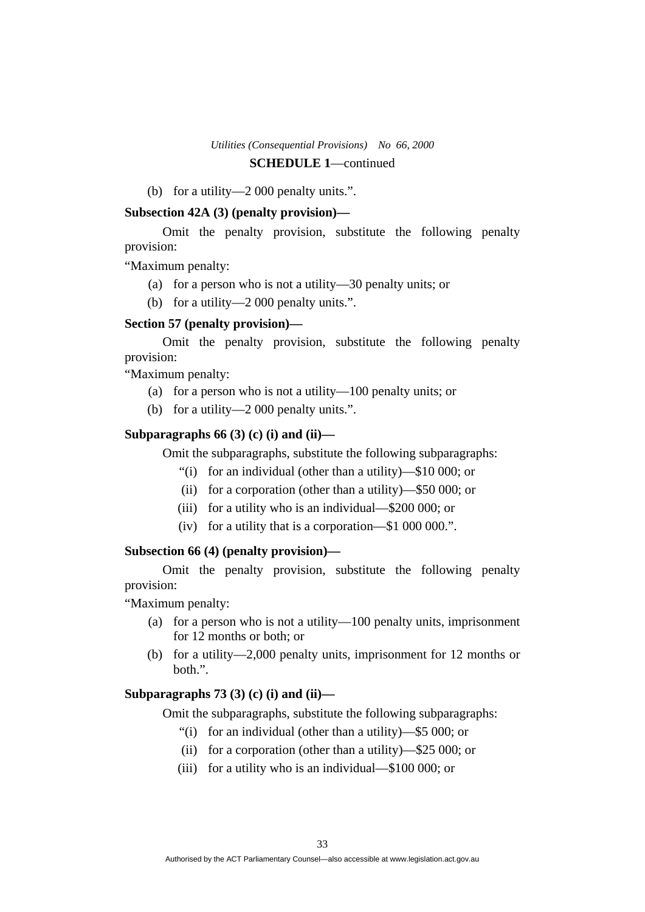(b) for a utility—2 000 penalty units.".

#### **Subsection 42A (3) (penalty provision)—**

 Omit the penalty provision, substitute the following penalty provision:

"Maximum penalty:

- (a) for a person who is not a utility—30 penalty units; or
- (b) for a utility—2 000 penalty units.".

#### **Section 57 (penalty provision)—**

 Omit the penalty provision, substitute the following penalty provision:

"Maximum penalty:

- (a) for a person who is not a utility—100 penalty units; or
- (b) for a utility—2 000 penalty units.".

#### **Subparagraphs 66 (3) (c) (i) and (ii)—**

Omit the subparagraphs, substitute the following subparagraphs:

- "(i) for an individual (other than a utility)—\$10 000; or
- (ii) for a corporation (other than a utility)—\$50 000; or
- (iii) for a utility who is an individual—\$200 000; or
- (iv) for a utility that is a corporation—\$1 000 000.".

### **Subsection 66 (4) (penalty provision)—**

 Omit the penalty provision, substitute the following penalty provision:

"Maximum penalty:

- (a) for a person who is not a utility—100 penalty units, imprisonment for 12 months or both; or
- (b) for a utility—2,000 penalty units, imprisonment for 12 months or both.".

### **Subparagraphs 73 (3) (c) (i) and (ii)—**

Omit the subparagraphs, substitute the following subparagraphs:

- "(i) for an individual (other than a utility)—\$5 000; or
- (ii) for a corporation (other than a utility)—\$25 000; or
- (iii) for a utility who is an individual—\$100 000; or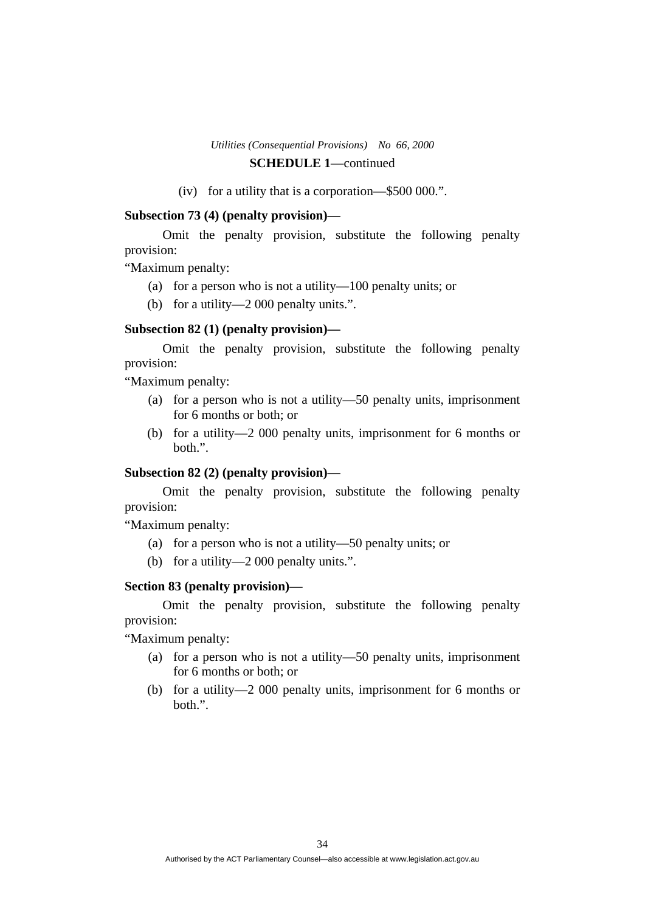(iv) for a utility that is a corporation—\$500 000.".

#### **Subsection 73 (4) (penalty provision)—**

 Omit the penalty provision, substitute the following penalty provision:

"Maximum penalty:

- (a) for a person who is not a utility—100 penalty units; or
- (b) for a utility—2 000 penalty units.".

### **Subsection 82 (1) (penalty provision)—**

 Omit the penalty provision, substitute the following penalty provision:

"Maximum penalty:

- (a) for a person who is not a utility—50 penalty units, imprisonment for 6 months or both; or
- (b) for a utility—2 000 penalty units, imprisonment for 6 months or both.".

### **Subsection 82 (2) (penalty provision)—**

 Omit the penalty provision, substitute the following penalty provision:

"Maximum penalty:

- (a) for a person who is not a utility—50 penalty units; or
- (b) for a utility—2 000 penalty units.".

#### **Section 83 (penalty provision)—**

 Omit the penalty provision, substitute the following penalty provision:

"Maximum penalty:

- (a) for a person who is not a utility—50 penalty units, imprisonment for 6 months or both; or
- (b) for a utility—2 000 penalty units, imprisonment for 6 months or both.".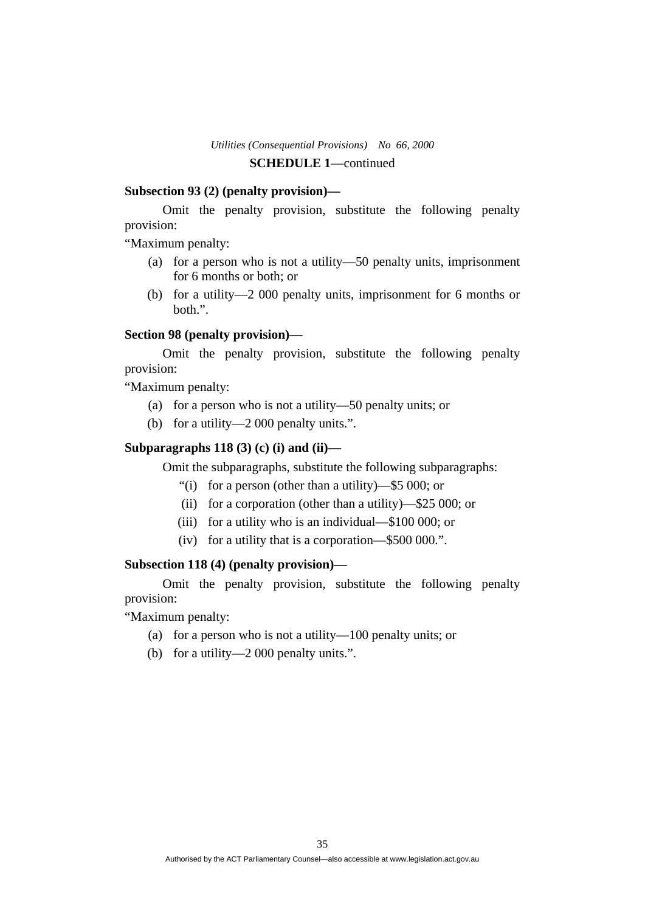### **Subsection 93 (2) (penalty provision)—**

 Omit the penalty provision, substitute the following penalty provision:

"Maximum penalty:

- (a) for a person who is not a utility—50 penalty units, imprisonment for 6 months or both; or
- (b) for a utility—2 000 penalty units, imprisonment for 6 months or both.".

#### **Section 98 (penalty provision)—**

 Omit the penalty provision, substitute the following penalty provision:

"Maximum penalty:

- (a) for a person who is not a utility—50 penalty units; or
- (b) for a utility—2 000 penalty units.".

### **Subparagraphs 118 (3) (c) (i) and (ii)—**

Omit the subparagraphs, substitute the following subparagraphs:

- "(i) for a person (other than a utility)—\$5 000; or
- (ii) for a corporation (other than a utility)—\$25 000; or
- (iii) for a utility who is an individual—\$100 000; or
- (iv) for a utility that is a corporation—\$500 000.".

#### **Subsection 118 (4) (penalty provision)—**

 Omit the penalty provision, substitute the following penalty provision:

"Maximum penalty:

- (a) for a person who is not a utility—100 penalty units; or
- (b) for a utility—2 000 penalty units.".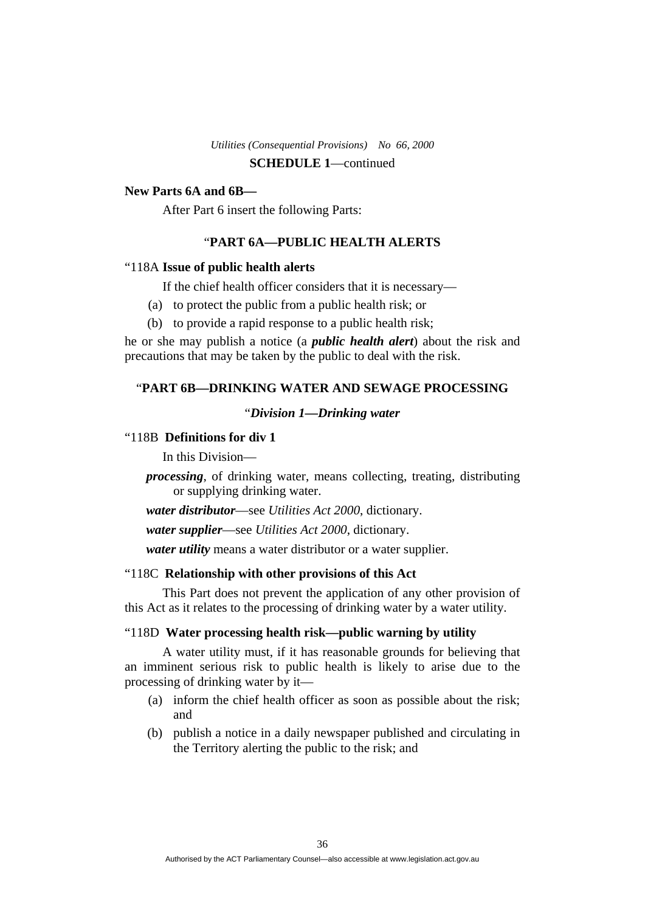#### **New Parts 6A and 6B—**

After Part 6 insert the following Parts:

### "**PART 6A—PUBLIC HEALTH ALERTS**

#### "118A **Issue of public health alerts**

If the chief health officer considers that it is necessary—

- (a) to protect the public from a public health risk; or
- (b) to provide a rapid response to a public health risk;

he or she may publish a notice (a *public health alert*) about the risk and precautions that may be taken by the public to deal with the risk.

#### "**PART 6B—DRINKING WATER AND SEWAGE PROCESSING**

### "*Division 1—Drinking water*

### "118B **Definitions for div 1**

In this Division—

*processing*, of drinking water, means collecting, treating, distributing or supplying drinking water.

*water distributor*—see *Utilities Act 2000*, dictionary.

*water supplier*—see *Utilities Act 2000*, dictionary.

*water utility* means a water distributor or a water supplier.

#### "118C **Relationship with other provisions of this Act**

 This Part does not prevent the application of any other provision of this Act as it relates to the processing of drinking water by a water utility.

#### "118D **Water processing health risk—public warning by utility**

 A water utility must, if it has reasonable grounds for believing that an imminent serious risk to public health is likely to arise due to the processing of drinking water by it—

- (a) inform the chief health officer as soon as possible about the risk; and
- (b) publish a notice in a daily newspaper published and circulating in the Territory alerting the public to the risk; and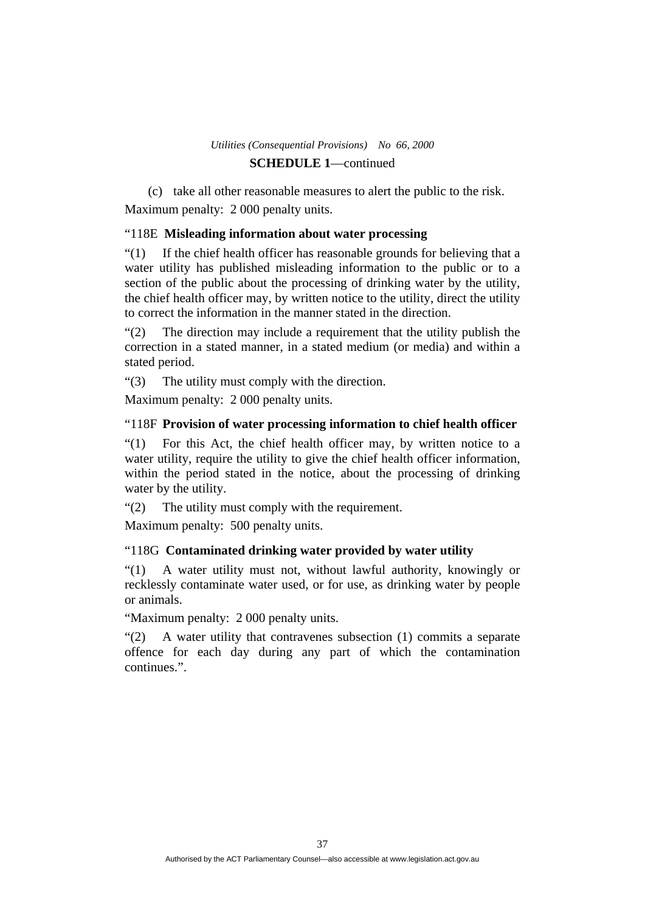(c) take all other reasonable measures to alert the public to the risk. Maximum penalty: 2 000 penalty units.

### "118E **Misleading information about water processing**

"(1) If the chief health officer has reasonable grounds for believing that a water utility has published misleading information to the public or to a section of the public about the processing of drinking water by the utility, the chief health officer may, by written notice to the utility, direct the utility to correct the information in the manner stated in the direction.

"(2) The direction may include a requirement that the utility publish the correction in a stated manner, in a stated medium (or media) and within a stated period.

"(3) The utility must comply with the direction.

Maximum penalty: 2 000 penalty units.

### "118F **Provision of water processing information to chief health officer**

"(1) For this Act, the chief health officer may, by written notice to a water utility, require the utility to give the chief health officer information, within the period stated in the notice, about the processing of drinking water by the utility.

"(2) The utility must comply with the requirement.

Maximum penalty: 500 penalty units.

### "118G **Contaminated drinking water provided by water utility**

"(1) A water utility must not, without lawful authority, knowingly or recklessly contaminate water used, or for use, as drinking water by people or animals.

"Maximum penalty: 2 000 penalty units.

"(2) A water utility that contravenes subsection (1) commits a separate offence for each day during any part of which the contamination continues.".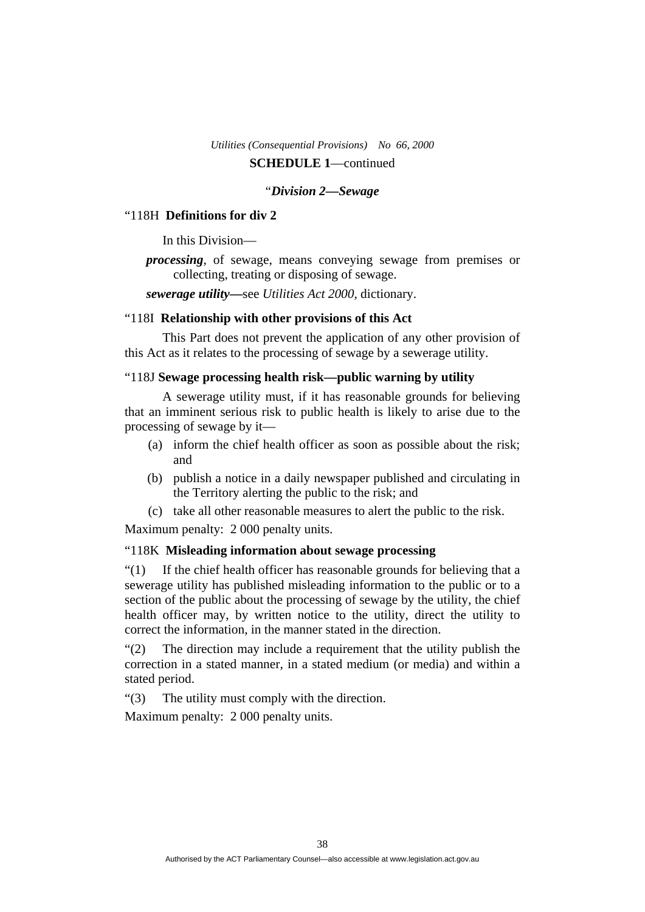#### "*Division 2—Sewage*

#### "118H **Definitions for div 2**

In this Division—

*processing*, of sewage, means conveying sewage from premises or collecting, treating or disposing of sewage.

*sewerage utility***—**see *Utilities Act 2000*, dictionary.

### "118I **Relationship with other provisions of this Act**

 This Part does not prevent the application of any other provision of this Act as it relates to the processing of sewage by a sewerage utility.

### "118J **Sewage processing health risk—public warning by utility**

 A sewerage utility must, if it has reasonable grounds for believing that an imminent serious risk to public health is likely to arise due to the processing of sewage by it—

- (a) inform the chief health officer as soon as possible about the risk; and
- (b) publish a notice in a daily newspaper published and circulating in the Territory alerting the public to the risk; and
- (c) take all other reasonable measures to alert the public to the risk.

Maximum penalty: 2 000 penalty units.

#### "118K **Misleading information about sewage processing**

"(1) If the chief health officer has reasonable grounds for believing that a sewerage utility has published misleading information to the public or to a section of the public about the processing of sewage by the utility, the chief health officer may, by written notice to the utility, direct the utility to correct the information, in the manner stated in the direction.

"(2) The direction may include a requirement that the utility publish the correction in a stated manner, in a stated medium (or media) and within a stated period.

"(3) The utility must comply with the direction.

Maximum penalty: 2 000 penalty units.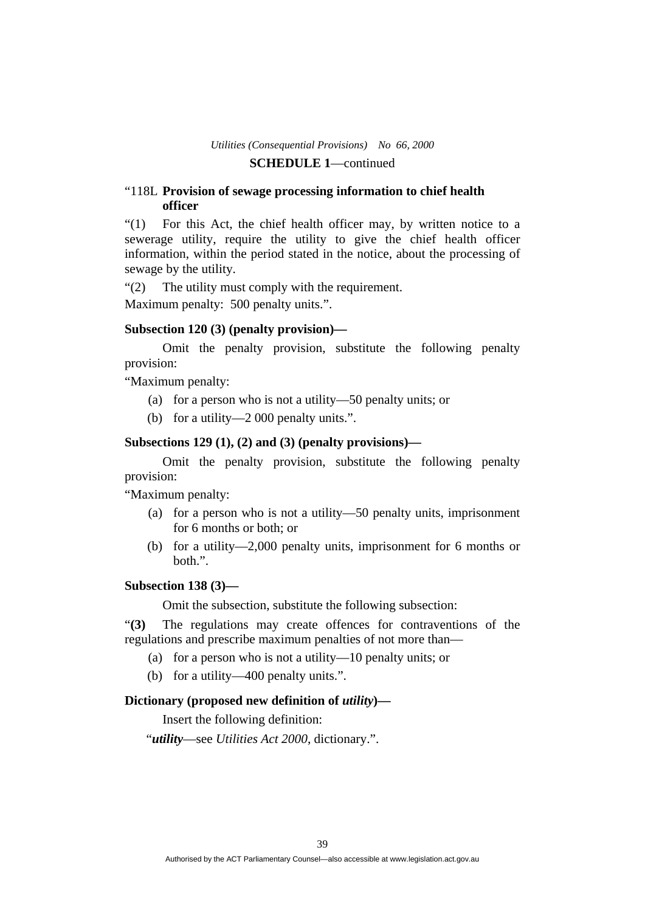### "118L **Provision of sewage processing information to chief health officer**

"(1) For this Act, the chief health officer may, by written notice to a sewerage utility, require the utility to give the chief health officer information, within the period stated in the notice, about the processing of sewage by the utility.

"(2) The utility must comply with the requirement. Maximum penalty: 500 penalty units.".

#### **Subsection 120 (3) (penalty provision)—**

 Omit the penalty provision, substitute the following penalty provision:

"Maximum penalty:

- (a) for a person who is not a utility—50 penalty units; or
- (b) for a utility—2 000 penalty units.".

#### **Subsections 129 (1), (2) and (3) (penalty provisions)—**

 Omit the penalty provision, substitute the following penalty provision:

"Maximum penalty:

- (a) for a person who is not a utility—50 penalty units, imprisonment for 6 months or both; or
- (b) for a utility—2,000 penalty units, imprisonment for 6 months or both.".

### **Subsection 138 (3)—**

Omit the subsection, substitute the following subsection:

"**(3)** The regulations may create offences for contraventions of the regulations and prescribe maximum penalties of not more than—

(a) for a person who is not a utility—10 penalty units; or

(b) for a utility—400 penalty units.".

### **Dictionary (proposed new definition of** *utility***)—**

Insert the following definition:

"*utility*—see *Utilities Act 2000*, dictionary.".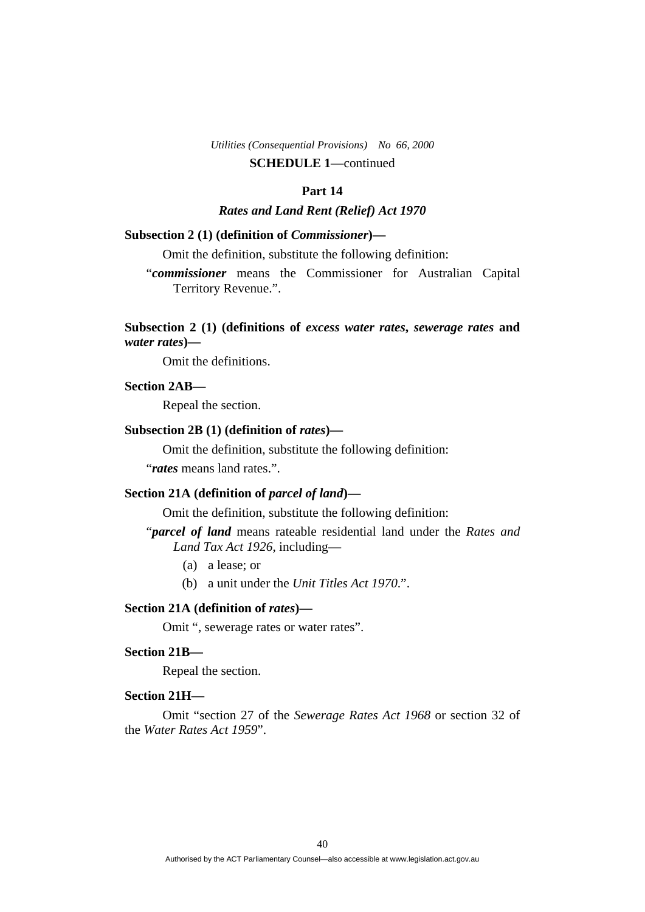#### **Part 14**

*Rates and Land Rent (Relief) Act 1970* 

#### **Subsection 2 (1) (definition of** *Commissioner***)—**

Omit the definition, substitute the following definition:

"*commissioner* means the Commissioner for Australian Capital Territory Revenue.".

### **Subsection 2 (1) (definitions of** *excess water rates***,** *sewerage rates* **and**  *water rates***)—**

Omit the definitions.

### **Section 2AB—**

Repeal the section.

#### **Subsection 2B (1) (definition of** *rates***)—**

 Omit the definition, substitute the following definition: "*rates* means land rates.".

### **Section 21A (definition of** *parcel of land***)—**

Omit the definition, substitute the following definition:

"*parcel of land* means rateable residential land under the *Rates and Land Tax Act 1926*, including—

- (a) a lease; or
- (b) a unit under the *Unit Titles Act 1970*.".

#### **Section 21A (definition of** *rates***)—**

Omit ", sewerage rates or water rates".

#### **Section 21B—**

Repeal the section.

#### **Section 21H—**

Omit "section 27 of the *Sewerage Rates Act 1968* or section 32 of the *Water Rates Act 1959*".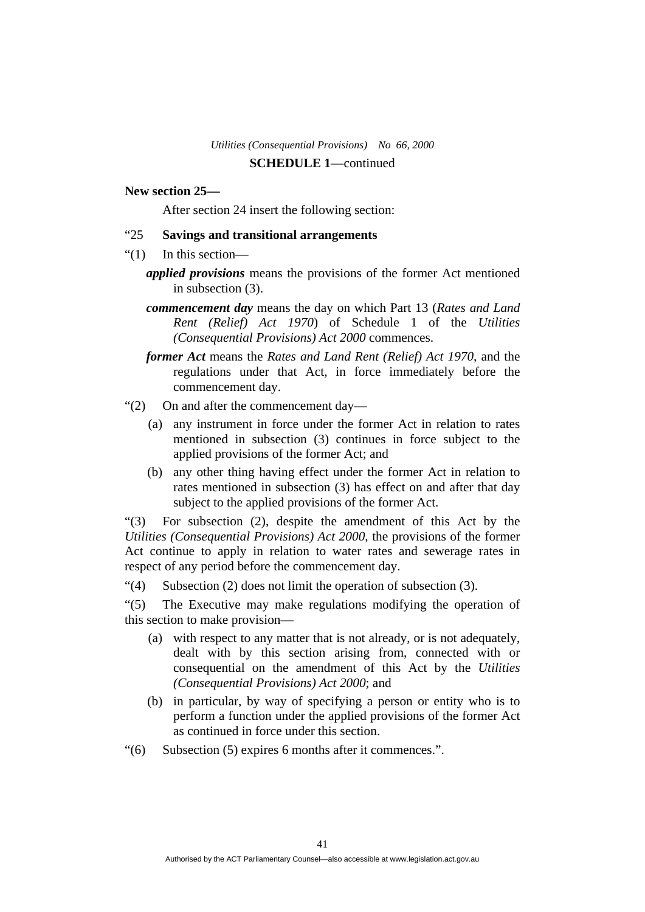#### **New section 25—**

After section 24 insert the following section:

#### "25 **Savings and transitional arrangements**

- "(1) In this section
	- *applied provisions* means the provisions of the former Act mentioned in subsection (3).
	- *commencement day* means the day on which Part 13 (*Rates and Land Rent (Relief) Act 1970*) of Schedule 1 of the *Utilities (Consequential Provisions) Act 2000* commences.
	- *former Act* means the *Rates and Land Rent (Relief) Act 1970*, and the regulations under that Act, in force immediately before the commencement day.
- "(2) On and after the commencement day—
	- (a) any instrument in force under the former Act in relation to rates mentioned in subsection (3) continues in force subject to the applied provisions of the former Act; and
	- (b) any other thing having effect under the former Act in relation to rates mentioned in subsection (3) has effect on and after that day subject to the applied provisions of the former Act.

"(3) For subsection (2), despite the amendment of this Act by the *Utilities (Consequential Provisions) Act 2000*, the provisions of the former Act continue to apply in relation to water rates and sewerage rates in respect of any period before the commencement day.

"(4) Subsection (2) does not limit the operation of subsection (3).

"(5) The Executive may make regulations modifying the operation of this section to make provision—

- (a) with respect to any matter that is not already, or is not adequately, dealt with by this section arising from, connected with or consequential on the amendment of this Act by the *Utilities (Consequential Provisions) Act 2000*; and
- (b) in particular, by way of specifying a person or entity who is to perform a function under the applied provisions of the former Act as continued in force under this section.
- "(6) Subsection (5) expires 6 months after it commences.".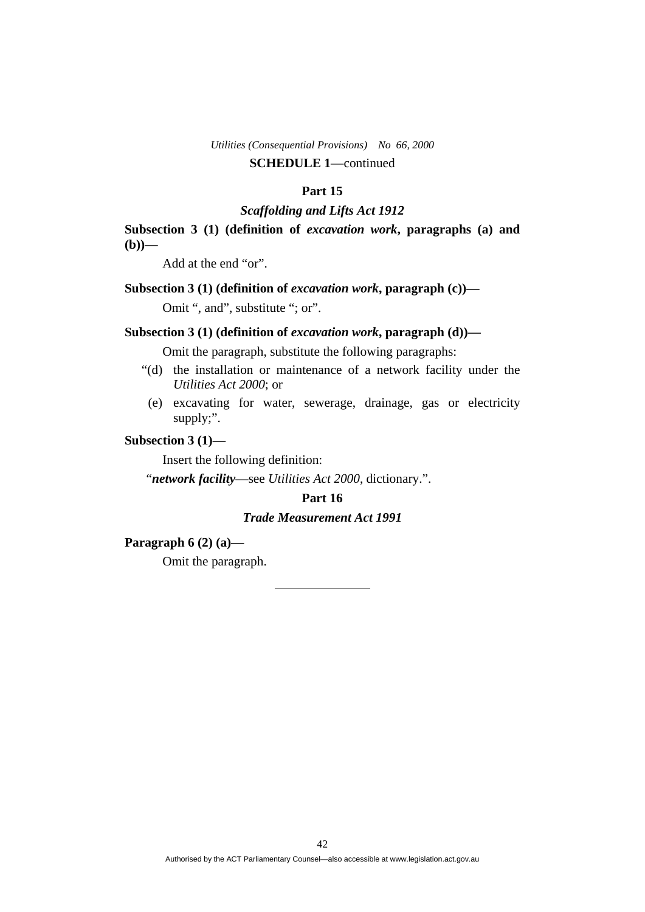### **Part 15**

### *Scaffolding and Lifts Act 1912*

**Subsection 3 (1) (definition of** *excavation work***, paragraphs (a) and —** 

Add at the end "or".

### **Subsection 3 (1) (definition of** *excavation work***, paragraph (c))—**  Omit ", and", substitute "; or".

### **Subsection 3 (1) (definition of** *excavation work***, paragraph (d))—**

Omit the paragraph, substitute the following paragraphs:

- "(d) the installation or maintenance of a network facility under the *Utilities Act 2000*; or
	- (e) excavating for water, sewerage, drainage, gas or electricity supply;".

#### **Subsection 3 (1)—**

Insert the following definition:

"*network facility*—see *Utilities Act 2000*, dictionary.".

#### **Part 16**

### *Trade Measurement Act 1991*

#### **Paragraph 6 (2) (a)—**

Omit the paragraph.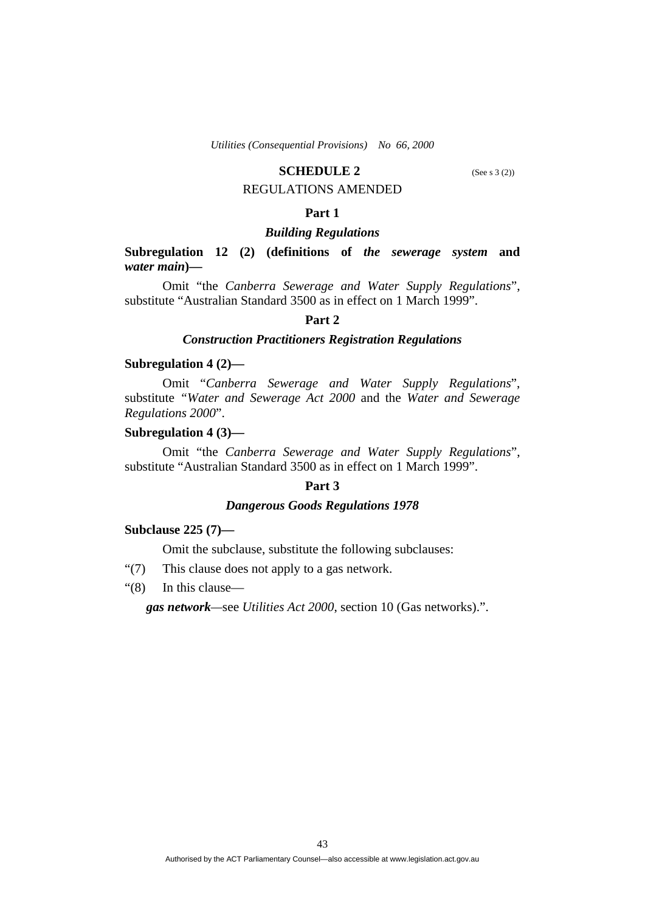#### **SCHEDULE 2** (See s 3 (2))

### REGULATIONS AMENDED

#### **Part 1**

### *Building Regulations*

**Subregulation 12 (2) (definitions of** *the sewerage system* **and** *water main***)—** 

 Omit "the *Canberra Sewerage and Water Supply Regulations*", substitute "Australian Standard 3500 as in effect on 1 March 1999".

#### **Part 2**

#### *Construction Practitioners Registration Regulations*

#### **Subregulation 4 (2)—**

 Omit "*Canberra Sewerage and Water Supply Regulations*", substitute *"Water and Sewerage Act 2000* and the *Water and Sewerage Regulations 2000*".

#### **Subregulation 4 (3)—**

Omit "the *Canberra Sewerage and Water Supply Regulations*", substitute "Australian Standard 3500 as in effect on 1 March 1999".

#### **Part 3**

#### *Dangerous Goods Regulations 1978*

#### **Subclause 225 (7)—**

Omit the subclause, substitute the following subclauses:

- "(7) This clause does not apply to a gas network.
- "(8) In this clause—

*gas network—*see *Utilities Act 2000*, section 10 (Gas networks).".